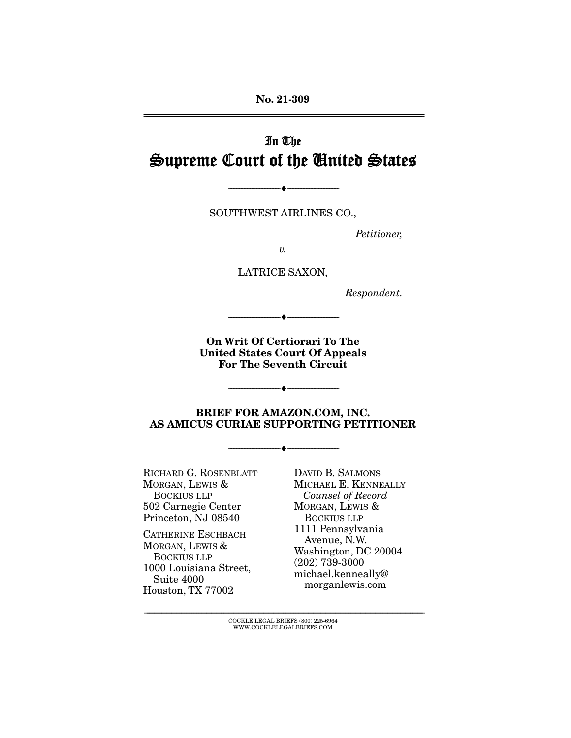**No. 21-309** 

# In The Supreme Court of the United States

SOUTHWEST AIRLINES CO., THE CONTRACT AIRLINES CO., THE CONTRACT OF CONTRACT AIRLINES CO., THE CONTRACT OF CONTRACT OF CONTRACT OF CONTRACT OF CONTRACT OF CONTRACT OF CONTRACT OF CONTRACT OF CONTRACT OF CONTRACT OF CONTRACT

 $\overbrace{\hspace{27mm}}$   $\overbrace{\hspace{27mm}}$ 

Petitioner,

 $\upsilon$ .

LATRICE SAXON,

Respondent.

**On Writ Of Certiorari To The United States Court Of Appeals For The Seventh Circuit** 

--------------------------------- ♦ ---------------------------------

 $\overbrace{\hspace{27mm}}$   $\overbrace{\hspace{27mm}}$ 

**BRIEF FOR AMAZON.COM, INC. AS AMICUS CURIAE SUPPORTING PETITIONER** 

 $\overbrace{\hspace{27mm}}$   $\overbrace{\hspace{27mm}}$ 

RICHARD G. ROSENBLATT<br>MORGAN, LEWIS & BOCKIUS LLP 502 Carnegie Center Princeton, NJ 08540

CATHERINE ESCHBACH MORGAN, LEWIS & BOCKIUS LLP 1000 Louisiana Street, Suite 4000 suite 1999<br>ouston, TX '  $\frac{1}{2}$   $\frac{1}{2}$   $\frac{1}{2}$   $\frac{1}{2}$   $\frac{1}{2}$   $\frac{1}{2}$   $\frac{1}{2}$   $\frac{1}{2}$   $\frac{1}{2}$   $\frac{1}{2}$   $\frac{1}{2}$   $\frac{1}{2}$   $\frac{1}{2}$   $\frac{1}{2}$   $\frac{1}{2}$   $\frac{1}{2}$   $\frac{1}{2}$   $\frac{1}{2}$   $\frac{1}{2}$   $\frac{1}{2}$   $\frac{1}{2}$   $\frac{1}{2}$ 

DAVID B. SALMONS<br>MICHAEL E. KENNEALLY Counsel of Record MORGAN, LEWIS & BOCKIUS LLP 1111 Pennsylvania Avenue, N.W. Washington, DC 20004  $(202)$  739-3000 michael.kenneally@ morganlewis.com more general morter

 $\text{COCKLE LEGAL BRIEFS}$  (800) 225-6964 WWW.COCKLELEGALBRIEFS.COM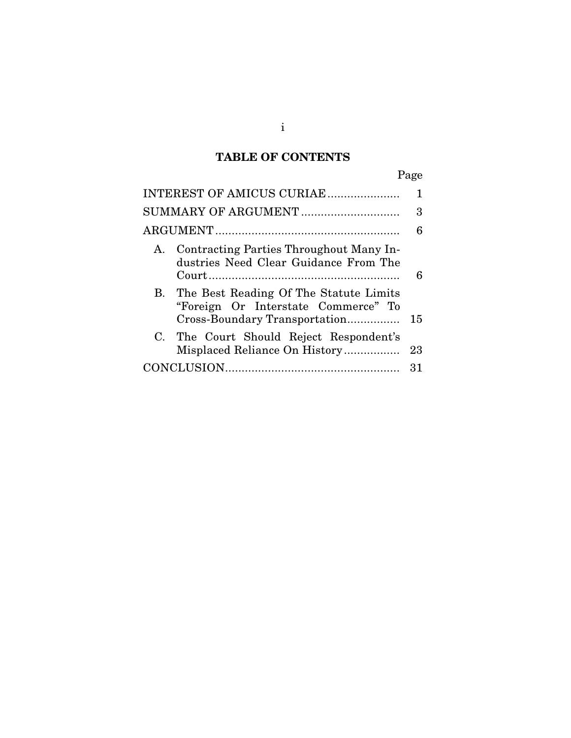# **TABLE OF CONTENTS**

| INTEREST OF AMICUS CURIAE                                                                                         | 1  |
|-------------------------------------------------------------------------------------------------------------------|----|
| SUMMARY OF ARGUMENT                                                                                               | 3  |
|                                                                                                                   | 6  |
| A. Contracting Parties Throughout Many In-<br>dustries Need Clear Guidance From The                               | 6  |
| B. The Best Reading Of The Statute Limits<br>"Foreign Or Interstate Commerce" To<br>Cross-Boundary Transportation | 15 |
| C. The Court Should Reject Respondent's<br>Misplaced Reliance On History                                          | 23 |
|                                                                                                                   | 31 |
|                                                                                                                   |    |

i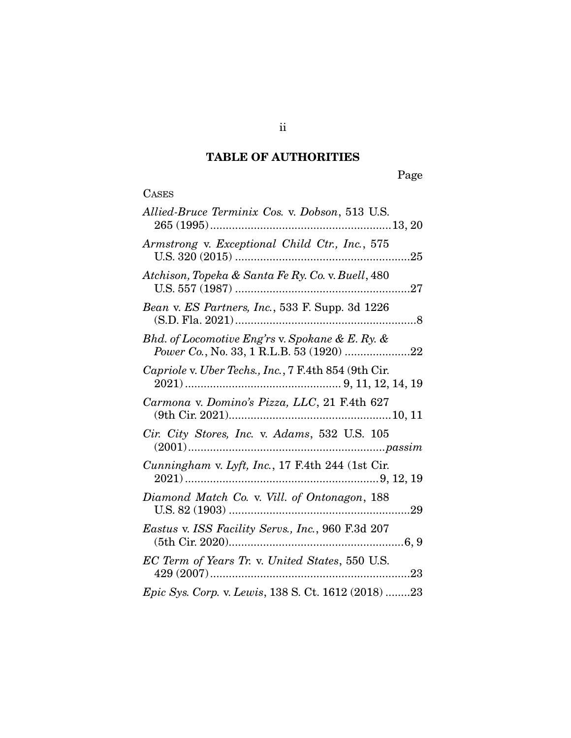# **TABLE OF AUTHORITIES**

# **CASES**

| Allied-Bruce Terminix Cos. v. Dobson, 513 U.S.                                                                                                                                                                                                                                                                                                                                              |
|---------------------------------------------------------------------------------------------------------------------------------------------------------------------------------------------------------------------------------------------------------------------------------------------------------------------------------------------------------------------------------------------|
| Armstrong v. Exceptional Child Ctr., Inc., 575                                                                                                                                                                                                                                                                                                                                              |
| Atchison, Topeka & Santa Fe Ry. Co. v. Buell, 480                                                                                                                                                                                                                                                                                                                                           |
| Bean v. ES Partners, Inc., 533 F. Supp. 3d 1226                                                                                                                                                                                                                                                                                                                                             |
| Bhd. of Locomotive Eng'rs v. Spokane & E. Ry. &<br>Power Co., No. 33, 1 R.L.B. 53 (1920) 22                                                                                                                                                                                                                                                                                                 |
| Capriole v. Uber Techs., Inc., 7 F.4th 854 (9th Cir.                                                                                                                                                                                                                                                                                                                                        |
| Carmona v. Domino's Pizza, LLC, 21 F.4th 627                                                                                                                                                                                                                                                                                                                                                |
| Cir. City Stores, Inc. v. Adams, 532 U.S. 105<br>$(2001) \dots 20001 \dots 20000 \dots 20000 \dots 20000 \dots 20000 \dots 20000 \dots 20000 \dots 20000 \dots 20000 \dots 20000 \dots 20000 \dots 20000 \dots 20000 \dots 20000 \dots 20000 \dots 20000 \dots 20000 \dots 20000 \dots 20000 \dots 20000 \dots 20000 \dots 20000 \dots 20000 \dots 20000 \dots 20000 \dots 20000 \dots 200$ |
| Cunningham v. Lyft, Inc., 17 F.4th 244 (1st Cir.                                                                                                                                                                                                                                                                                                                                            |
| Diamond Match Co. v. Vill. of Ontonagon, 188                                                                                                                                                                                                                                                                                                                                                |
| Eastus v. ISS Facility Servs., Inc., 960 F.3d 207                                                                                                                                                                                                                                                                                                                                           |
| EC Term of Years Tr. v. United States, 550 U.S.                                                                                                                                                                                                                                                                                                                                             |
| Epic Sys. Corp. v. Lewis, 138 S. Ct. 1612 (2018) 23                                                                                                                                                                                                                                                                                                                                         |

ii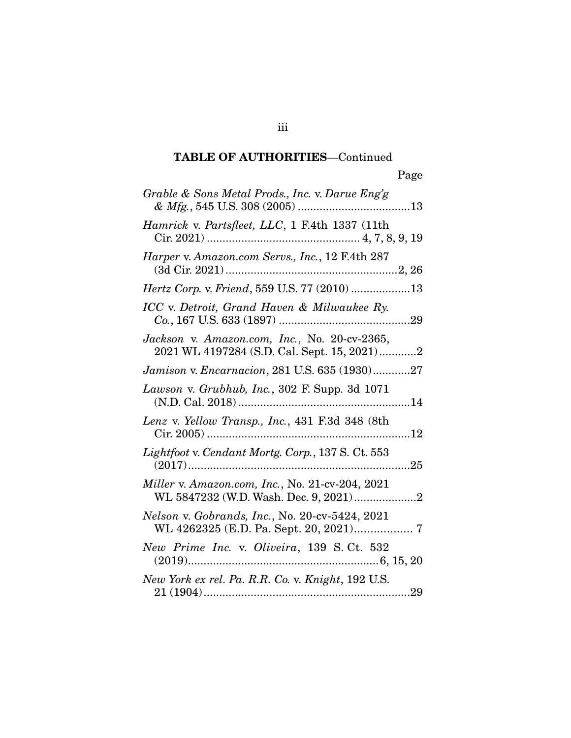| Grable & Sons Metal Prods., Inc. v. Darue Eng'g                                             |
|---------------------------------------------------------------------------------------------|
| Hamrick v. Partsfleet, LLC, 1 F.4th 1337 (11th                                              |
| Harper v. Amazon.com Servs., Inc., 12 F.4th 287                                             |
| Hertz Corp. v. Friend, 559 U.S. 77 (2010) 13                                                |
| ICC v. Detroit, Grand Haven & Milwaukee Ry.                                                 |
| Jackson v. Amazon.com, Inc., No. 20-cv-2365,<br>2021 WL 4197284 (S.D. Cal. Sept. 15, 2021)2 |
| Jamison v. Encarnacion, 281 U.S. 635 (1930)27                                               |
| Lawson v. Grubhub, Inc., 302 F. Supp. 3d 1071                                               |
| Lenz v. Yellow Transp., Inc., 431 F.3d 348 (8th                                             |
| Lightfoot v. Cendant Mortg. Corp., 137 S. Ct. 553<br>$\ldots$ 25                            |
| Miller v. Amazon.com, Inc., No. 21-cv-204, 2021<br>WL 5847232 (W.D. Wash. Dec. 9, 2021)2    |
| Nelson v. Gobrands, Inc., No. 20-cv-5424, 2021<br>WL 4262325 (E.D. Pa. Sept. 20, 2021) 7    |
| New Prime Inc. v. Oliveira, 139 S. Ct. 532<br>$(2019)$<br>$6, 15, 20$                       |
| New York ex rel. Pa. R.R. Co. v. Knight, 192 U.S.<br>21 (1904)<br>29                        |

21 (1904) .................................................................. 29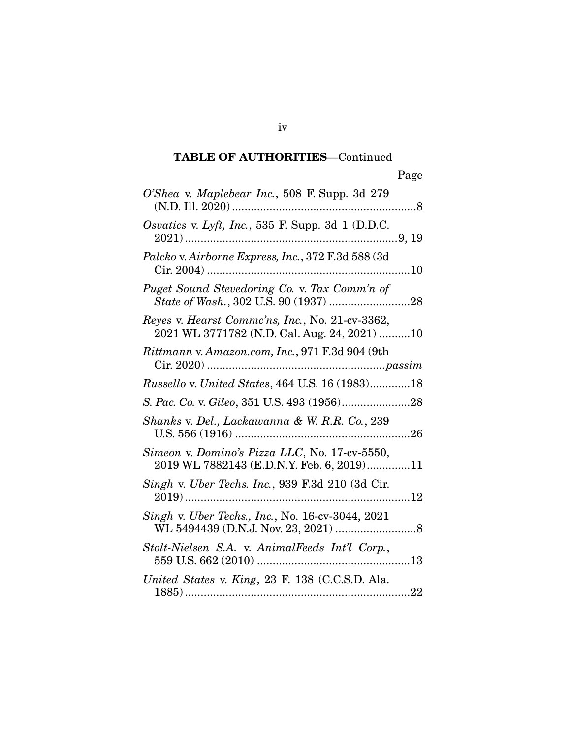| O'Shea v. Maplebear Inc., 508 F. Supp. 3d 279                                                   |
|-------------------------------------------------------------------------------------------------|
| Osvatics v. Lyft, Inc., 535 F. Supp. 3d 1 (D.D.C.                                               |
| Palcko v. Airborne Express, Inc., 372 F.3d 588 (3d                                              |
| Puget Sound Stevedoring Co. v. Tax Comm'n of                                                    |
| Reyes v. Hearst Commc'ns, Inc., No. 21-cv-3362,<br>2021 WL 3771782 (N.D. Cal. Aug. 24, 2021) 10 |
| Rittmann v. Amazon.com, Inc., 971 F.3d 904 (9th                                                 |
| <i>Russello v. United States, 464 U.S. 16 (1983)18</i>                                          |
|                                                                                                 |
| Shanks v. Del., Lackawanna & W. R.R. Co., 239                                                   |
| Simeon v. Domino's Pizza LLC, No. 17-cv-5550,<br>2019 WL 7882143 (E.D.N.Y. Feb. 6, 2019)11      |
| Singh v. Uber Techs. Inc., 939 F.3d 210 (3d Cir.                                                |
| Singh v. Uber Techs., Inc., No. 16-cv-3044, 2021                                                |
| Stolt-Nielsen S.A. v. AnimalFeeds Int'l Corp.,<br>559 U.S. 662 (2010)<br>13                     |
| United States v. King, 23 F. 138 (C.C.S.D. Ala.<br>22<br>1885)                                  |

1885) ........................................................................ 22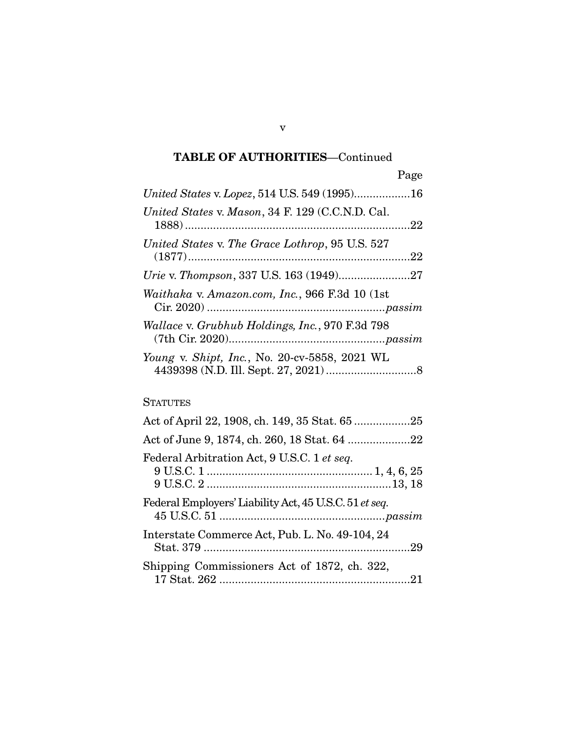| United States v. Lopez, 514 U.S. 549 (1995)16                                     |              |
|-----------------------------------------------------------------------------------|--------------|
| United States v. Mason, 34 F. 129 (C.C.N.D. Cal.                                  |              |
| United States v. The Grace Lothrop, 95 U.S. 527                                   |              |
|                                                                                   |              |
| Waithaka v. Amazon.com, Inc., 966 F.3d 10 (1st                                    |              |
| Wallace v. Grubhub Holdings, Inc., 970 F.3d 798                                   |              |
| Young v. Shipt, Inc., No. 20-cv-5858, 2021 WL<br>$4439398$ (N D Ill Sept 27 2021) | $\mathsf{R}$ |

4439398 (N.D. Ill. Sept. 27, 2021) ............................. 8

### **STATUTES**

| Act of June 9, 1874, ch. 260, 18 Stat. 64 22           |
|--------------------------------------------------------|
| Federal Arbitration Act, 9 U.S.C. 1 et seq.            |
| Federal Employers' Liability Act, 45 U.S.C. 51 et seq. |
| Interstate Commerce Act, Pub. L. No. 49-104, 24        |
| Shipping Commissioners Act of 1872, ch. 322,           |

v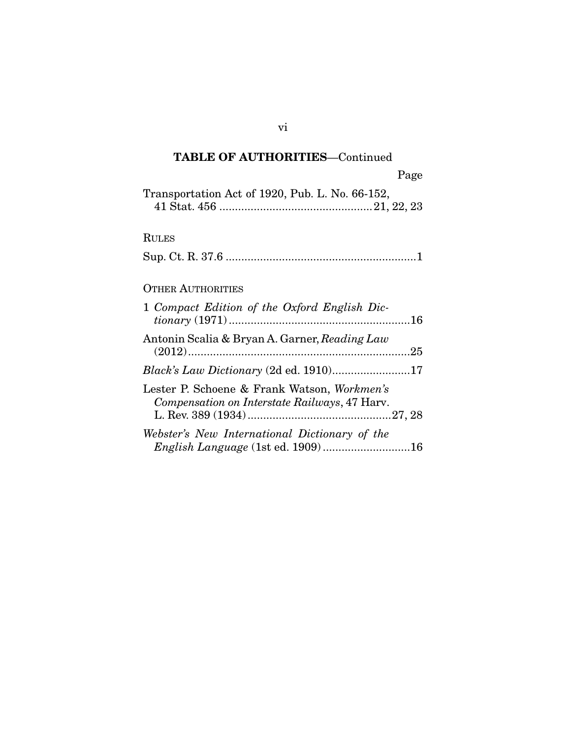| $\mathbf{u} \in \mathbb{C}$                     |
|-------------------------------------------------|
| Transportation Act of 1920, Pub. L. No. 66-152, |
|                                                 |
|                                                 |
| <b>RULES</b>                                    |
|                                                 |
|                                                 |
|                                                 |
| <b>OTHER AUTHORITIES</b>                        |
|                                                 |

| 1 Compact Edition of the Oxford English Dic-                                                 |
|----------------------------------------------------------------------------------------------|
| Antonin Scalia & Bryan A. Garner, Reading Law                                                |
| Black's Law Dictionary (2d ed. 1910)17                                                       |
| Lester P. Schoene & Frank Watson, Workmen's<br>Compensation on Interstate Railways, 47 Harv. |
| Webster's New International Dictionary of the                                                |

vi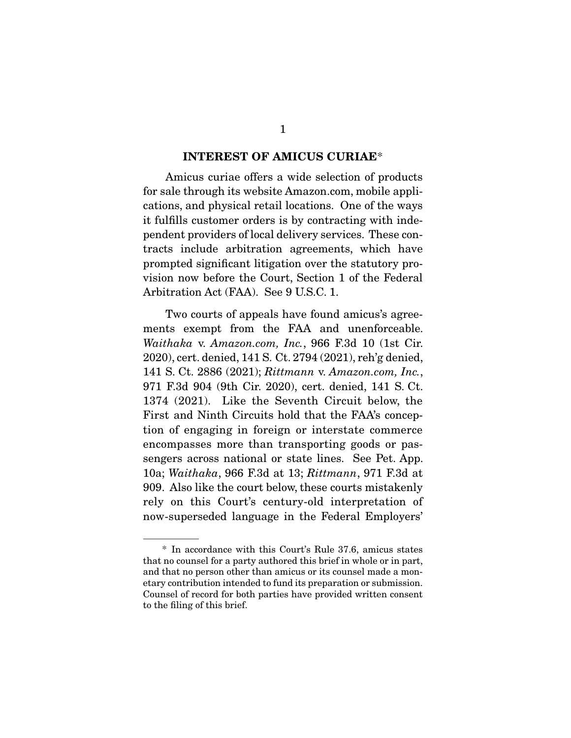**INTEREST OF AMICUS CURIAE\***<br>Amicus curiae offers a wide selection of products for sale through its website Amazon.com, mobile applications, and physical retail locations. One of the ways it fulfills customer orders is by contracting with independent providers of local delivery services. These contracts include arbitration agreements, which have prompted significant litigation over the statutory provision now before the Court, Section 1 of the Federal Arbitration Act (FAA). See 9 U.S.C. 1. Arbitration Act (FAA). See 9 U.S.C. 1.

Two courts of appeals have found amicus's agreements exempt from the FAA and unenforceable. Waithaka v. Amazon.com, Inc., 966 F.3d 10 (1st Cir.<br>2020) ext depied 141.8 Ct. 2794 (2021) reb'g depied 141 S. Ct. 2886 (2021); Rittmann v. Amazon.com, Inc.,  $271 \text{ F}$  24, 904 (9th Cir. 2020), ext. denied, 141 S. Ct. 971 F.3d 904 (9th Cir. 2020), cert. denied, 141 S. Ct. First and Ninth Circuits hold that the FAA's conception of engaging in foreign or interstate commerce encompasses more than transporting goods or passengers across national or state lines. See Pet. App. 10a; Waithaka, 966 F.3d at 13; Rittmann, 971 F.3d at 000. Also like the court below these courts mistekeply. 909. Also like the court below, these courts mistakenly rely on this Court's century-old interpretation of now-superseded language in the Federal Employers' now-superseded language in the Federal Employers'

 <sup>\*</sup> In accordance with this Court's Rule 37.6, amicus states and that no person other than amicus or its counsel made a monetary contribution intended to fund its preparation or submission. Counsel of record for both parties have provided written consent to the filing of this brief. to the filing of this brief.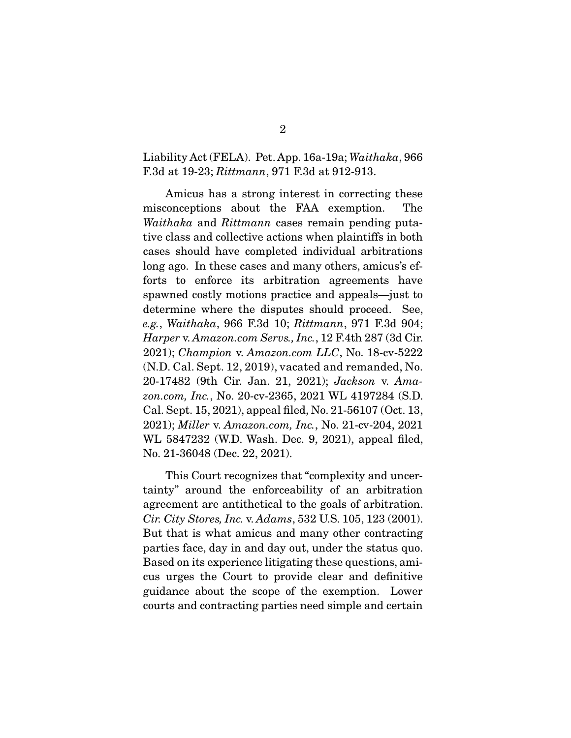### Liability Act (FELA). Pet. App. 16a-19a; Waithaka, 966 F.3d at 19-23; Rittmann, 971 F.3d at 912-913.

Amicus has a strong interest in correcting these<br>misconceptions about the FAA exemption. The  $Waithaka$  and  $Rittmann$  cases remain pending puta-<br>tive class and collective actions when plaintiffs in both tive class and collective actions when plaintiffs in both long ago. In these cases and many others, amicus's efforts to enforce its arbitration agreements have spawned costly motions practice and appeals—just to determine where the disputes should proceed. See, determine where the disputes shown process.  $e.g., Waithaka, 966 F.3d 10; Rittmann, 971 F.3d 904;$ <br>Harper y Amazon com Serve, Inc. 12 F.4th 287.(3d Cir. Harper v. Amazon.com Servs., Inc., 12 F.4th 287 (3d Cir. 2021); Champion v. Amazon.com LLC, No. 18-cv-5222 (N.D. Cal. Sept. 12, 2019), vacated and remanded, No. 20-17482 (9th Cir. Jan. 21, 2021); Jackson v. Ama-<br>20 am Ine, No. 20 av 2265, 2021 WI, 4197284 (S.D. zon.com, Inc., No. 20-cv-2365, 2021 WL 4197284 (S.D.<br>Cal. Sept. 15, 2021), appeal filed, No. 21-56107 (Oct. 13, 2021); Miller v. Amazon.com, Inc., No. 21-cv-204, 2021  $N_{\odot}$  91.36048 (Dec. 99. 9091) No. 21-36048 (Dec. 22, 2021).

This Court recognizes that "complexity and uncertainty" around the enforceability of an arbitration agreement are antithetical to the goals of arbitration. agerement are antithetical to the goals of arbitration.<br>
Rut that is what arrives and many other contraction. But that is what amicus and many other contracting<br>parties face, day in and day out, under the status quo. Based on its experience litigating these questions, amicus urges the Court to provide clear and definitive guidance about the scope of the exemption. Lower  $\frac{1}{2}$ courts and contracting parties need simple and certain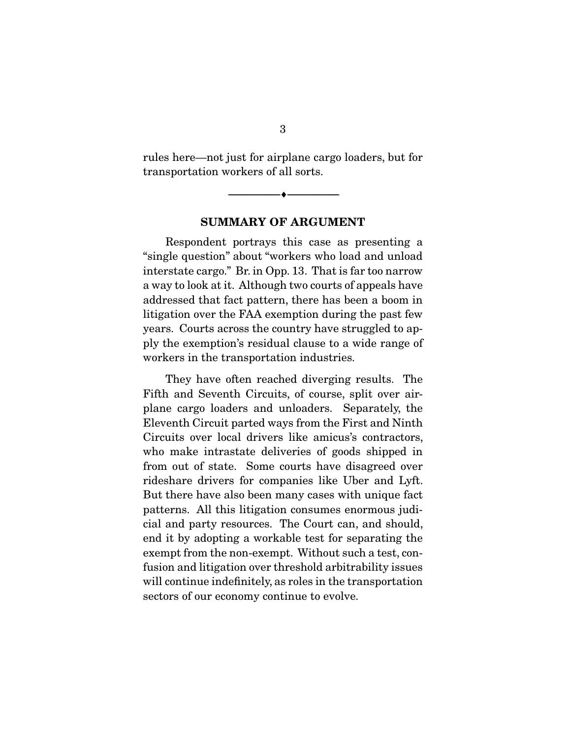rules here—not just for airplane cargo loaders, but for transportation workers of all sorts.

**SUMMARY OF ARGUMENT** 

 $\overbrace{\hspace{2.5cm}}$   $\overbrace{\hspace{2.5cm}}$ 

Respondent portrays this case as presenting a<br>"single question" about "workers who load and unload interstate cargo." Br. in Opp. 13. That is far too narrow a way to look at it. Although two courts of appeals have addressed that fact pattern, there has been a boom in litigation over the FAA exemption during the past few years. Courts across the country have struggled to apply the exemption's residual clause to a wide range of pay the exemption's residual clause to a wide range of which is the transportation in the transportation in the transportation in the transportation in the transportation in the transportation of the transportation in the transportation of the transportation of the transportat

They have often reached diverging results. The<br>Fifth and Seventh Circuits, of course, split over airplane cargo loaders and unloaders. Separately, the Eleventh Circuit parted ways from the First and Ninth Circuits over local drivers like amicus's contractors. who make intrastate deliveries of goods shipped in from out of state. Some courts have disagreed over rideshare drivers for companies like Uber and Lyft. But there have also been many cases with unique fact. patterns. All this litigation consumes enormous judicial and party resources. The Court can, and should, end it by adopting a workable test for separating the exempt from the non-exempt. Without such a test, confusion and litigation over threshold arbitrability issues will continue indefinitely, as roles in the transportation sectors of our economy continue to evolve. sectors of our economy continue to evolve.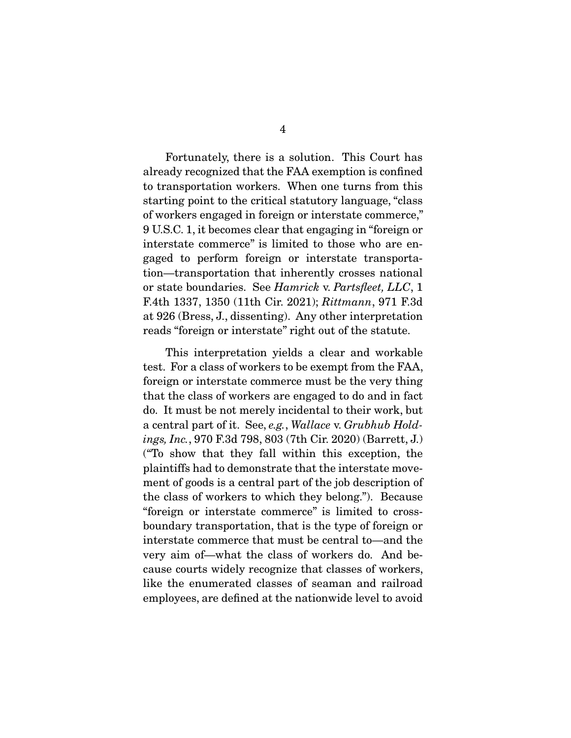Fortunately, there is a solution. This Court has already recognized that the FAA exemption is confined to transportation workers. When one turns from this starting point to the critical statutory language, "class" of workers engaged in foreign or interstate commerce," 9 U.S.C. 1, it becomes clear that engaging in "foreign or interstate commerce" is limited to those who are engaged to perform foreign or interstate transportation—transportation that inherently crosses national or state boundaries. See  $Hamrick$  v. Partsfleet,  $LLC$ , 1<br> $FAth$  1337–1350 (11th Cir. 2021):  $Bitmann$  971 F.3d F.4th 1337, 1350 (11th Cir. 2021); Rittmann, 971 F.3d at 926 (Bress, J., dissenting). Any other interpretation  $\frac{1}{2}$  and  $\frac{1}{2}$  (Bress,  $\frac{1}{2}$ ,  $\frac{1}{2}$ ,  $\frac{1}{2}$ ,  $\frac{1}{2}$ ,  $\frac{1}{2}$ ,  $\frac{1}{2}$ ,  $\frac{1}{2}$ ,  $\frac{1}{2}$ ,  $\frac{1}{2}$ ,  $\frac{1}{2}$ ,  $\frac{1}{2}$ ,  $\frac{1}{2}$ ,  $\frac{1}{2}$ ,  $\frac{1}{2}$ ,  $\frac{1}{2}$ ,  $\frac{1}{2}$ ,  $\frac{1}{2}$ ,  $\$ reads to get the statute of the statute of the statute.

This interpretation yields a clear and workable test. For a class of workers to be exempt from the FAA, foreign or interstate commerce must be the very thing that the class of workers are engaged to do and in fact do. It must be not merely incidental to their work, but a central part of it. See, e.g., Wallace v. Grubhub Hold-<br>ince Inc.  $970 F3d798.803(7+h)$  Cir. 2020) (Borrott, I) ings, Inc., 970 F.3d 798, 803 (7th Cir. 2020) (Barrett, J.)<br>("To show that they fall within this exception, the plaintiffs had to demonstrate that the interstate movement of goods is a central part of the job description of the class of workers to which they belong."). Because "foreign or interstate commerce" is limited to crossboundary transportation, that is the type of foreign or interstate commerce that must be central to—and the very aim of—what the class of workers do. And because courts widely recognize that classes of workers, like the enumerated classes of seaman and railroad like the end of the entire the end of the seamand railroad employees, are defined at the nationwide level to avoid the national term of  $\mathbf{r}$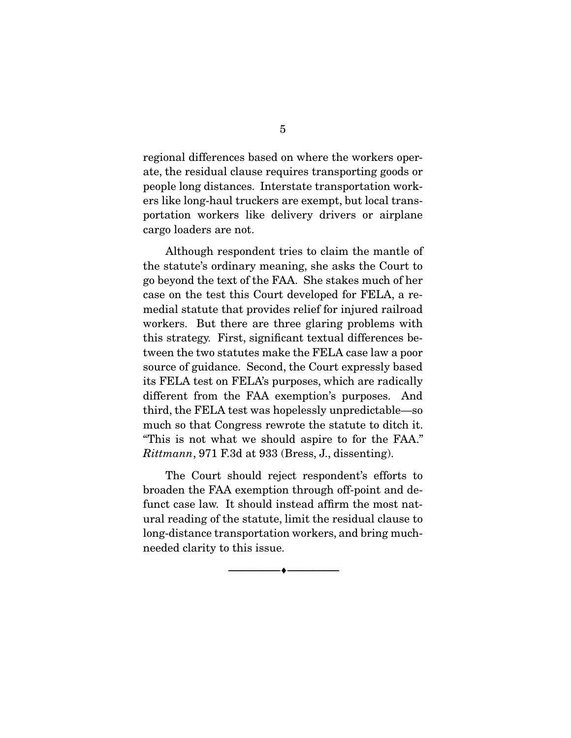regional differences based on where the workers operate, the residual clause requires transporting goods or people long distances. Interstate transportation workers like long-haul truckers are exempt, but local transportation workers like delivery drivers or airplane portation workers in the delivery drivers or an interest or airplanet or airplanet or  $\mathbf{r}$ cargo loaders are not.

Although respondent tries to claim the mantle of the statute's ordinary meaning, she asks the Court to go beyond the text of the FAA. She stakes much of her case on the test this Court developed for FELA, a remedial statute that provides relief for injured railroad workers. But there are three glaring problems with this strategy. First, significant textual differences between the two statutes make the FELA case law a poor source of guidance. Second, the Court expressly based its FELA test on FELA's purposes, which are radically different from the FAA exemption's purposes. And third, the FELA test was hopelessly unpredictable—so. much so that Congress rewrote the statute to ditch it. "This is not what we should aspire to for the FAA." Rittmann, 971 F.3d at 933 (Bress, J., dissenting).

The Court should reject respondent's efforts to broaden the FAA exemption through off-point and defunct case law. It should instead affirm the most natarrier ural reading of the statute, limit the residual clause to long-distance transportation workers, and bring much- $\log$  distance transportation  $\frac{1}{2}$  and bring model density to this issue. needed clarity to this issue.

 $\overbrace{\hspace{2.5cm}}$   $\overbrace{\hspace{2.5cm}}$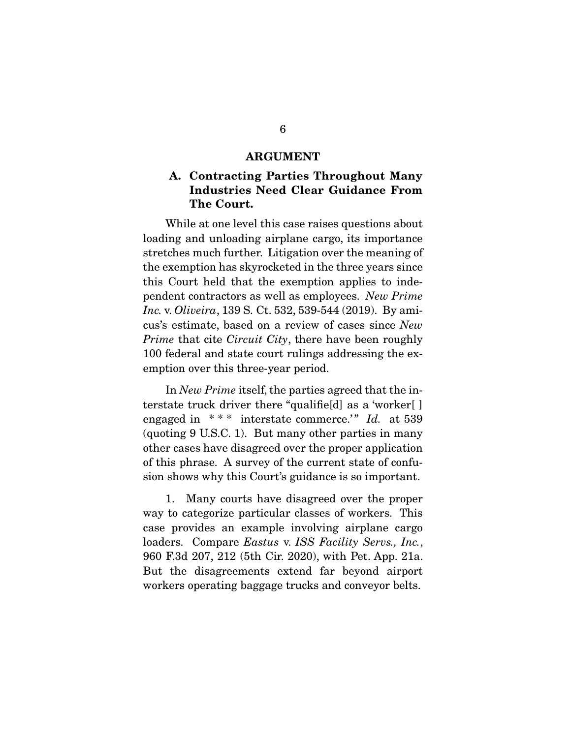### **ARGUMENT**

### **A. Contracting Parties Throughout Many Industries Need Clear Guidance From The Court.**

While at one level this case raises questions about<br>loading and unloading airplane cargo, its importance stretches much further. Litigation over the meaning of the exemption has skyrocketed in the three years since this Court held that the exemption applies to inde $t_{\text{rel}}$  court held that the energy dependent contractors as well as employees. New Prime Inc. v. Oliveira, 139 S. Ct. 532, 539-544 (2019). By amicus's estimate, based on a review of cases since New *Prime* that cite *Circuit City*, there have been roughly 100 federal and state court rulings addressing the exemption over this three-year period.  $\sum_{i=1}^{n}$ 

In New Prime itself, the parties agreed that the interstate truck driver there "qualified" as a 'worker[] engaged in \*\*\* interstate commerce.'" Id. at 539<br>(quating 0 USC 1) But many other parties in many (quoting 9 U.S.C. 1). But many other parties in many of this phrase. A survey of the current state of confusion shows why this Court's guidance is so important. sion shows why this Court's guidance is so important.

 1. Many courts have disagreed over the proper case provides an example involving airplane cargo case provides an example involving airplane cargo<br>loaders. Compare Eastus v. ISS Facility Servs., Inc., 060 F.34 207 212 (5th Cir. 2020) with Pot. App. 210 960 F.3d 207, 212 (5th Cir. 2020), with Pet. App. 21a. workers operating baggage trucks and conveyor belts. we complete  $\beta$  baggage trucks and convey one has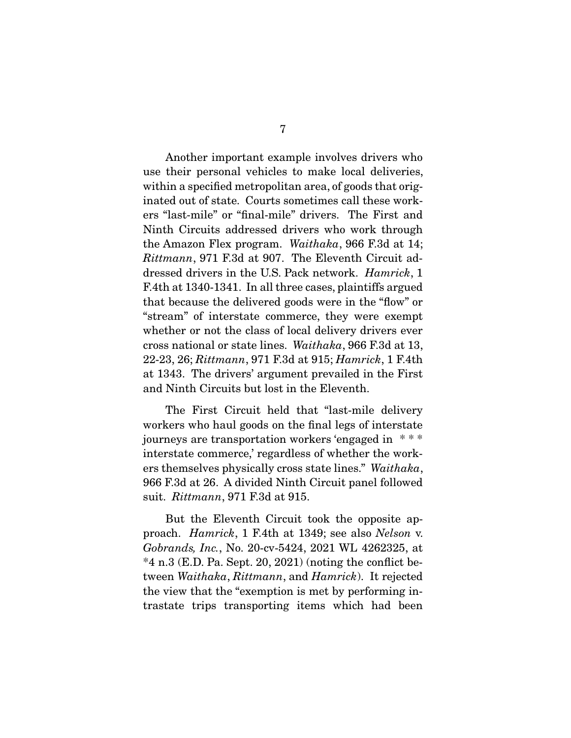Another important example involves drivers who<br>use their personal vehicles to make local deliveries, within a specified metropolitan area, of goods that originated out of state. Courts sometimes call these workers "last-mile" or "final-mile" drivers. The First and Ninth Circuits addressed drivers who work through the Amazon Flex program. Waithaka, 966 F.3d at 14;<br>Rittmann 971 F.3d at 907. The Flexenth Circuit ad Rittmann, 971 F.3d at 907. The Eleventh Circuit addressed drivers in the U.S. Pack network. *Hamrick*, 1<br>F.4th at 1340-1341. In all three cases, plaintiffs argued that because the delivered goods were in the "flow" or "stream" of interstate commerce, they were exempt whether or not the class of local delivery drivers ever cross national or state lines. Waithaka, 966 F.3d at 13,<br>22.23.26: *Bittmann*, 971 F.3d at 915: *Hamrich*, 1 F.4th 22-23, 26; Rittmann, 971 F.3d at 915; Hamrick, 1 F.4th at 1343. The drivers' argument prevailed in the First and Ninth Circuits but lost in the Eleventh. and Ninth Circuits but lost in the Eleventh.

The First Circuit held that "last-mile delivery<br>workers who haul goods on the final legs of interstate journeys are transportation workers 'engaged in  $***$ interstate commerce,' regardless of whether the workers themselves physically cross state lines." Waithaka, 966 F.3d at 915. A divided Ninth Circuit panel followed panel followed suit. Rittmann, 971 F.3d at 915.

 $B = 20$  and  $B = 20$  for  $B = 11$  at 1349; see also Nelson v.<br>Cohrands Inc. No. 20 av 5424, 2021 WI 4262325, at Gobrands, Inc., No. 20-cv-5424, 2021 WL 4262325, at  $*4$  n.3 (E.D. Pa. Sept. 20, 2021) (noting the conflict be- $\frac{1}{2}$  and  $\frac{1}{2}$  in  $\frac{1}{2}$  is the conflict be-<br>tween Waithaka, Rittmann, and Hamrick). It rejected<br>the view that the "examption is met by performing in the view that the "exemption is met by performing in-<br>trastate trips transporting items which had been trastate trips transporting items which had been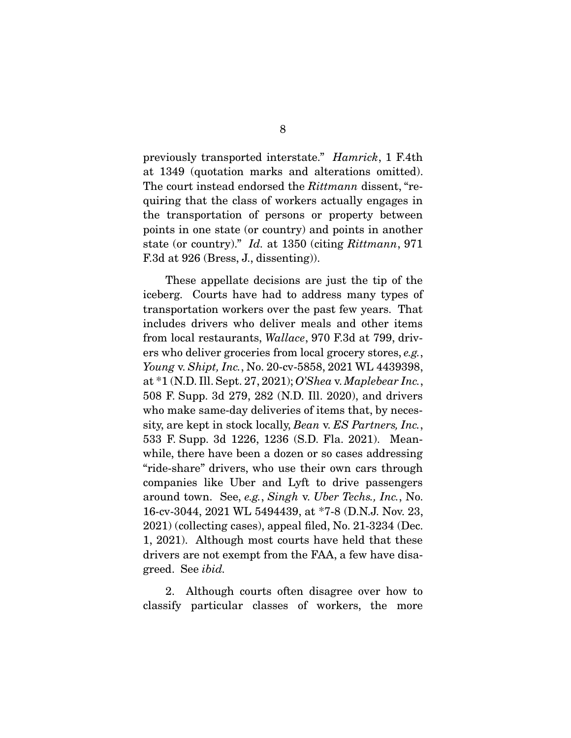previously transported interstate." *Hamrick*, 1 F.4th at 1349 (quotation marks and alterations omitted). The court instead endorsed the  $Rittmann$  dissent, "re-<br>quiring that the class of workers actually engages in quiring that the class of workers actually engages in the transportation of persons or property between points in one state (or country) and points in another state (or country)." Id. at 1350 (citing  $Rittmann$ , 971 F.3d at 926 (Bress, J., dissenting)).

These appellate decisions are just the tip of the iceberg. Courts have had to address many types of transportation workers over the past few years. That includes drivers who deliver meals and other items. from local restaurants, Wallace, 970 F.3d at 799, driv-<br>org who deliver greecries from local greecry steres, e.g. ers who deliver groceries from local grocery stores, e.g., Young v. Shipt, Inc., No. 20-cv-5858, 2021 WL 4439398, at \*1 (N.D. Ill. Sept. 27, 2021); O'Shea v. Maplebear Inc., 508 F. Supp. 3d 279, 282 (N.D. Ill. 2020), and drivers who make same-day deliveries of items that, by necessity, are kept in stock locally, Bean v. ES Partners, Inc.,  $533 E$  Supp. 3d 1996 1936 (S D Flo. 2021). Moop 533 F. Supp. 3d 1226, 1236 (S.D. Fla. 2021). Mean-<br>while, there have been a dozen or so cases addressing "ride-share" drivers, who use their own cars through companies like Uber and Lyft to drive passengers around town. See, e.g., Singh v. Uber Techs., Inc., No.<br>16 ev 3044 2021 WI 5494439 et \*7 8 (D N I Nov 23 16-cv-3044, 2021 WL 5494439, at \*7-8 (D.N.J. Nov. 23, 2021) (collecting cases), appeal filed, No. 21-3234 (Dec. 1, 2021). Although most courts have held that these drivers are not exempt from the FAA, a few have disagreed. See *ibid.* 

2. Alexander courts of the disagree of the more classify particular classes of workers, the more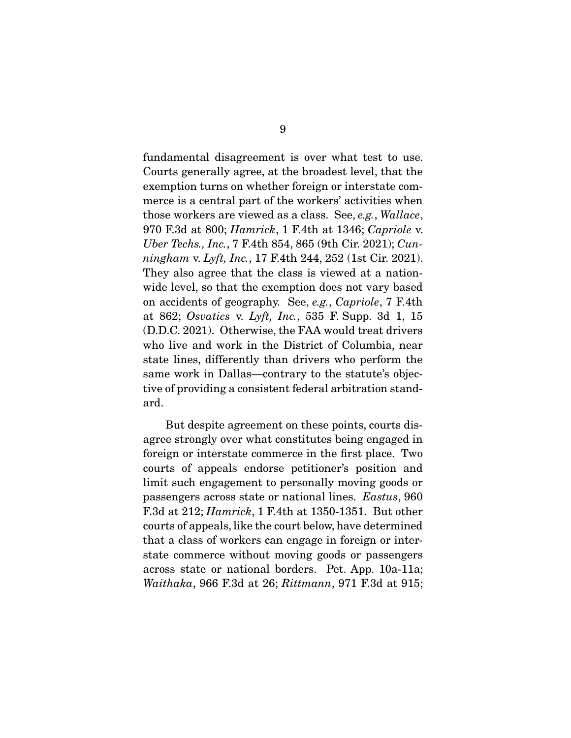fundamental disagreement is over what test to use. exemption turns on whether foreign or interstate commerce is a central part of the workers' activities when those workers are viewed as a class. See, e.g., Wallace,  $\alpha$ <sup>70</sup> E 3d et 800; *Hamrich* 1 E4th et 1346; Canricle v 970 F.3d at 800; Hamrick, 1 F.4th at 1346; Capriole v. Uber Techs., Inc., 7 F.4th 854, 865 (9th Cir. 2021); Cunningham v. Lyft, Inc., 17 F.4th 244, 252 (1st Cir. 2021).<br>They also agree that the class is viewed at a nationwide level, so that the exemption does not vary based on accidents of geography. See, e.g., Capriole, 7 F.4th at 862; Osvatics v. Lyft, Inc., 535 F. Supp. 3d 1, 15 (D.D.C. 2021). Otherwise, the FAA would treat drivers who live and work in the District of Columbia, near state lines, differently than drivers who perform the same work in Dallas—contrary to the statute's objec $s_{\text{avg}}$  is a metal set of  $s_{\text{avg}}$  in Dallas–contrary to the statute statute of providing a consistent foloral arbitration stand tive of providing a consistent federal arbitration stand-

But despite agreement on these points, courts disagree strongly over what constitutes being engaged in foreign or interstate commerce in the first place. Two courts of appeals endorse petitioner's position and limit such engagement to personally moving goods or passengers across state or national lines.  $Eastus$ , 960<br>F<sub>3d</sub> at 212:  $Hamrich$ , 1 F4th at 1350, 1351. But other F.3d at 212; *Hamrick*, 1 F.4th at 1350-1351. But other courts of appeals, like the court below, have determined that a class of workers can engage in foreign or interstate commerce without moving goods or passengers  $across state or national borders. Pet. App. 10a-11a;$ Waithaka, 966 F.3d at 26;  $Rittmann$ , 971 F.3d at 915;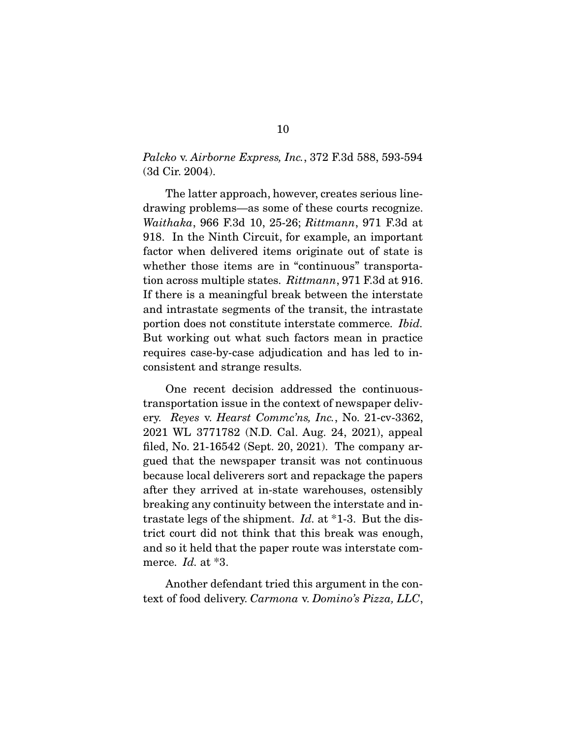# *Palcko v. Airborne Express, Inc.,* 372 F.3d 588, 593-594<br>(3d Cir. 2004).  $(3d - 2d - 1)$

The latter approach, however, creates serious line-<br>drawing problems—as some of these courts recognize.  $Waithaka$ , 966 F.3d 10, 25-26;  $Rittmann$ , 971 F.3d at 918. In the Ninth Circuit, for example, an important whether those items are in "continuous" transportation across multiple states. *Rittmann*, 971 F.3d at 916. If there is a meaningful break between the interstate portion does not constitute interstate commerce. *Ibid.*<br>But working out what such factors moon in proctice. But working out what such factors mean in practice requires case-by-case adjudication and has led to in $r_{\text{c}}$  and  $r_{\text{c}}$  case-by-case adjudication and  $r_{\text{c}}$  and  $r_{\text{c}}$  inconsistent and strange results.

One recent decision addressed the continuous-<br>transportation issue in the context of newspaper delivery. Reyes v. Hearst Commc'ns, Inc., No. 21-cv-3362, 2021 WL 3771782 (N.D. Cal. Aug. 24, 2021), appeal gued that the newspaper transit was not continuous because local deliverers sort and repackage the papers after they arrived at in-state warehouses, ostensibly breaking any continuity between the interstate and intrastate legs of the shipment.  $Id$ , at \*1-3. But the dis-<br>trist court did not think that this brook was enough trict court did not think that this break was enough, and so it held that the paper route was interstate commerce. Id. at  $*3$ .

text of food delivery. Carmona v. Domino's Pizza, LLC,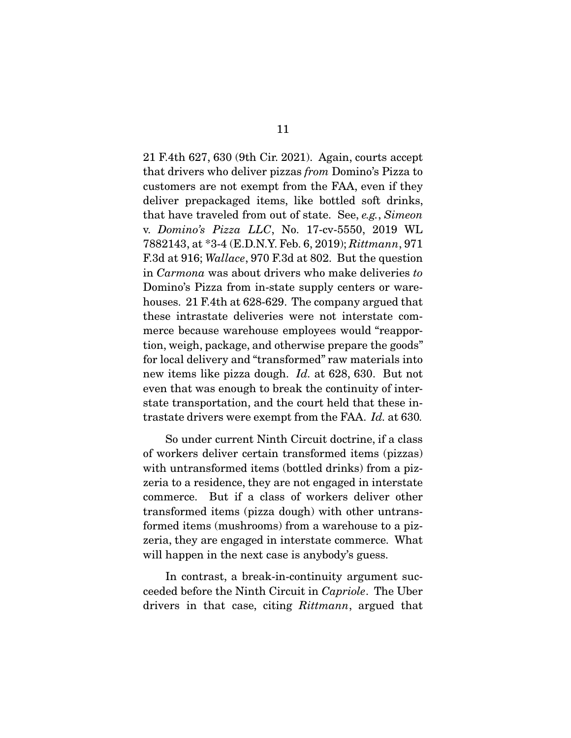that drivers who deliver pizzas *from* Domino's Pizza to gustomers are not exampt from the  $FAA$ , even if they customers are not exempt from the FAA, even if they deliver prepackaged items, like bottled soft drinks, that have traveled from out of state. See, e.g., Simeon<br>w. Domine's Pizza, LLC, No. 17 av 5550, 2019, WI v. Domino's Pizza LLC, No. 17-cv-5550, 2019 WL 7882143, at \*3-4 (E.D.N.Y. Feb. 6, 2019); Rittmann, 971 F.3d at 916; Wallace, 970 F.3d at 802. But the question in Carmona was about drivers who make deliveries to<br>Domino's Pizza from in-state supply centers or warehouses. 21 F.4th at 628-629. The company argued that these intrastate deliveries were not interstate commerce because warehouse employees would "reapportion, weigh, package, and otherwise prepare the goods" for local delivery and "transformed" raw materials into For the delivery and "transformed" raw materials into heaven that was apough to broak the continuity of intereven that was enough to break the continuity of inter-<br>state transportation, and the court held that these instate transportation, and the court held that these in-trastate drivers were exempt from the FAA. Id. at 630.

So under current Ninth Circuit doctrine, if a class<br>of workers deliver certain transformed items (pizzas) with untransformed items (bottled drinks) from a pizzeria to a residence, they are not engaged in interstate commerce. But if a class of workers deliver other transformed items (pizza dough) with other untransformed items (mushrooms) from a warehouse to a pizzeria, they are engaged in interstate commerce. What will happen in the next case is anybody's guess.  $\mathbf{r}_{\mathbf{r}}$ 

ceeded before the Ninth Circuit in Capriole. The Uber drivers in that case, citing Rittmann, argued that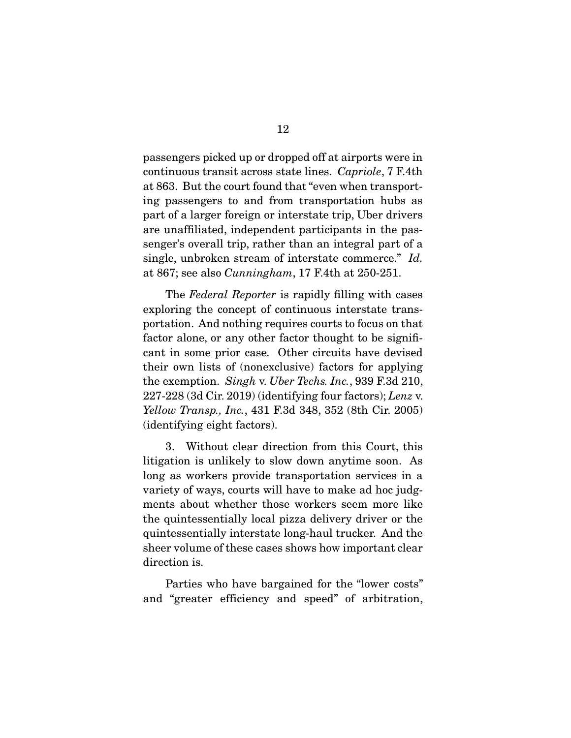continuous transit across state lines. Capriole, 7 F.4th at 863. But the court found that "even when transportpart of a larger foreign or interstate trip, Uber drivers are unaffiliated, independent participants in the passenger's overall trip, rather than an integral part of a single, unbroken stream of interstate commerce." Id. at 867; see also Cunningham, 17 F.4th at 250-251.

The *Federal Reporter* is rapidly filling with cases exploring the concept of continuous interstate transportation. And nothing requires courts to focus on that factor alone, or any other factor thought to be significant in some prior case. Other circuits have devised their own lists of (nonexclusive) factors for applying. the exemption. Singh v. Uber Techs. Inc., 939 F.3d 210,  $227.228$  (3d Cir. 2019) (identifying four fectors): Leng v. 227-228 (3d Cir. 2019) (identifying four factors); Lenz v. Yellow Transp., Inc., 431 F.3d 348, 352 (8th Cir. 2005) (identifying eight factors).

3. Without clear direction from this Court, this litigation is unlikely to slow down anytime soon. As long as workers provide transportation services in a variety of ways, courts will have to make ad hoc judgments about whether those workers seem more like the quintes sentially local pizza delivery driver or the quintessentially interstate long-haul trucker. And the quintessential interstate logical truckers interstated interstate logic  $s_{\text{inert}}$  is the case of these cases  $\mathbf{r}_{\text{inert}}$ direction is.

end "greater efficiency and speed" of expiration  $\frac{1}{2}$  and  $\frac{1}{2}$  and speed  $\frac{1}{2}$  and  $\frac{1}{2}$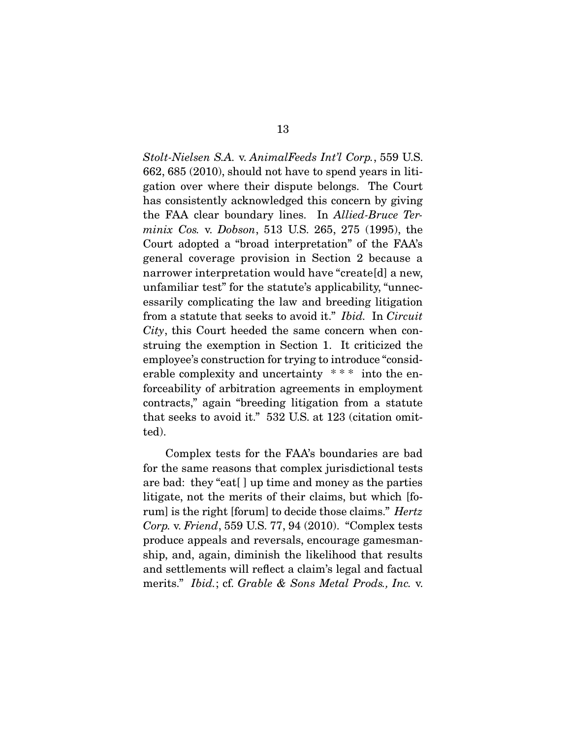Stolt-Nielsen S.A. v. AnimalFeeds Int'l Corp., 559 U.S.<br>662, 685 (2010), should not have to spend years in litigation over where their dispute belongs. The Court has consistently acknowledged this concern by giving. the FAA clear boundary lines. In Allied-Bruce Ter-<br>minix  $C_0$  v. Dobson, 513 U.S. 265, 275 (1995), the minix Cos. v. Dobson, 513 U.S. 265, 275 (1995), the Court adopted a "broad interpretation" of the FAA's general coverage provision in Section 2 because a narrower interpretation would have "create[d] a new, unfamiliar test" for the statute's applicability, "unnecessarily complicating the law and breeding litigation from a statute that seeks to avoid it." Ibid. In Circuit City, this Court heeded the same concern when construing the exemption in Section 1. It criticized the employee's construction for trying to introduce "considerable complexity and uncertainty  $***$  into the enforceability of arbitration agreements in employment contracts," again "breeding litigation from a statute that seeks to avoid it."  $532$  U.S. at 123 (citation omit- $\text{tod}$ ted).

Complex tests for the FAA's boundaries are bad<br>for the same reasons that complex jurisdictional tests are bad: they "eat.  $\vert \vert$  up time and money as the parties litigate, not the merits of their claims, but which [forum] is the right [forum] to decide those claims." Hertz<br>Corn y Friend, 550 U.S. 77, 04 (2010), "Complex tosts Corp. v. Friend, 559 U.S. 77, 94 (2010). "Complex tests produce appeals and reversals, encourage gamesmanship, and, again, diminish the likelihood that results and settlements will reflect a claim's legal and factual merits." *Ibid.*; cf. Grable & Sons Metal Prods., Inc. v.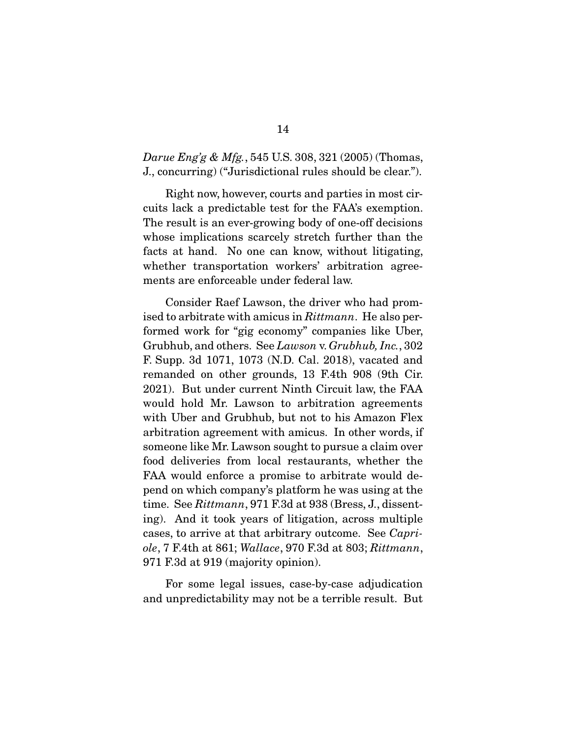*Darue Eng'g & Mfg.*, 545 U.S. 308, 321 (2005) (Thomas, J., concurring) ("Jurisdictional rules should be clear.").

Right now, however, courts and parties in most cir-<br>cuits lack a predictable test for the FAA's exemption. The result is an ever-growing body of one-off decisions. whose implications scarcely stretch further than the facts at hand. No one can know, without litigating, whether transportation workers' arbitration agreements are enforceable under federal law. ments are enforceable under federal law.

 $\frac{1}{2}$  ised to arbitrate with amicus in  $Rittmann$ . He also per-<br>formed work for "gig economy" companies like Uber Grubhub, and others. See Lawson v. Grubhub, Inc.,  $302$ <br>E. Supp. 2d. 1071, 1073. (N.D. Col., 2018), vecated and F. Supp. 3d 1071, 1073 (N.D. Cal. 2018), vacated and 2021). But under current Ninth Circuit law, the FAA would hold Mr. Lawson to arbitration agreements with Uber and Grubhub, but not to his Amazon Flex arbitration agreement with amicus. In other words, if someone like Mr. Lawson sought to pursue a claim over food deliveries from local restaurants, whether the FAA would enforce a promise to arbitrate would depend on which company's platform he was using at the time. See Rittmann, 971 F.3d at 938 (Bress, J., dissent-<br>time. And it took yours of litigation, across multiple. cases, to arrive at that arbitrary outcome. See Capri-<br>cle 7  $F$ 4th at 861; Wallace 970  $F$ 3d at 803; *Rittmann* ole, 7 F.4th at 861; Wallace, 970 F.3d at 803; Rittmann, 971 F.3d at 919 (majority opinion).

For some adjustment is the some adjustment of the countries. and unpredictability may not be a terrible result. But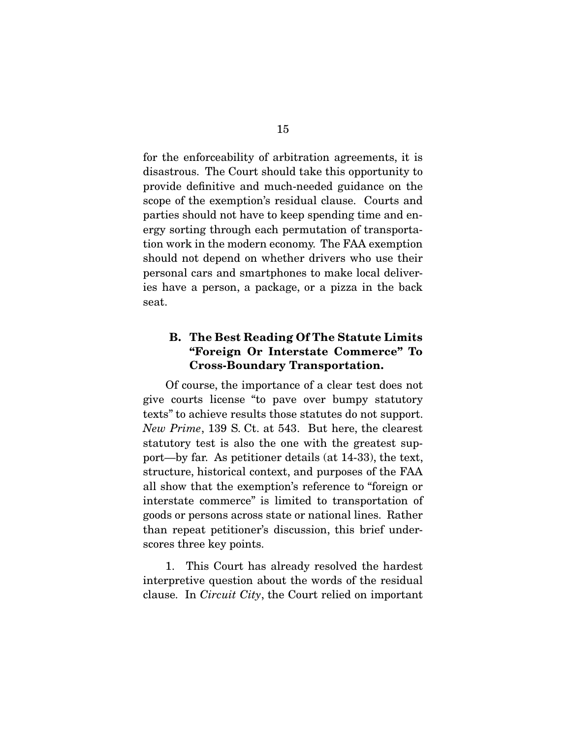for the enforceability of arbitration agreements, it is disastrous. The Court should take this opportunity to provide definitive and much-needed guidance on the scope of the exemption's residual clause. Courts and parties should not have to keep spending time and energy sorting through each permutation of transportation work in the modern economy. The FAA exemption should not depend on whether drivers who use their personal cars and smartphones to make local deliveries have a person, a package, or a pizza in the back  $\frac{1}{2}$  and  $\frac{1}{2}$  person, a package, or a pixza in the back seat.

### **B. The Best Reading Of The Statute Limits "Foreign Or Interstate Commerce" To Cross-Boundary Transportation.**

Of course, the importance of a clear test does not<br>give courts license "to pave over bumpy statutory texts" to achieve results those statutes do not support. New Prime, 139 S. Ct. at 543. But here, the clearest statutory test is also the one with the greatest sup-<br>port—by far. As petitioner details (at 14-33), the text, structure, historical context, and purposes of the FAA all show that the exemption's reference to "foreign or interstate commerce" is limited to transportation of goods or persons across state or national lines. Rather than repeat petitioner's discussion, this brief underthan repeat petitioner's discussion, this brief underscores the key points.

 1. This Court has already resolved the hardest clause. In *Circuit City*, the Court relied on important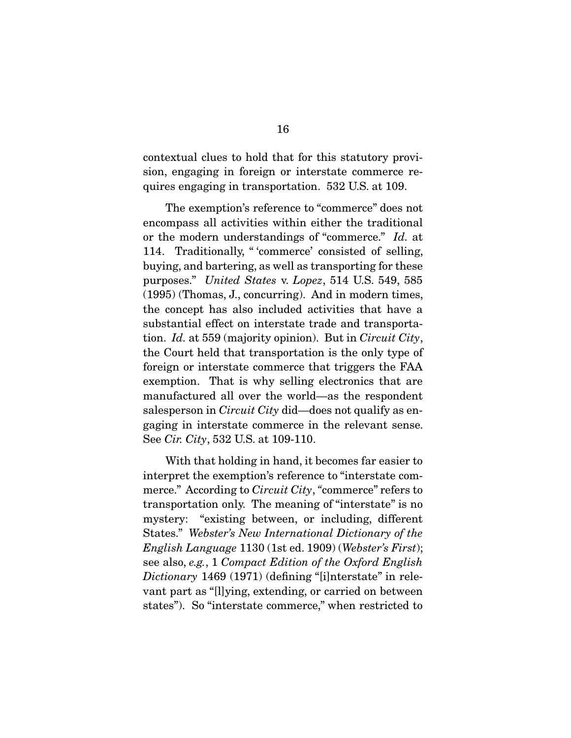contextual clues to hold that for this statutory provi $s_{\text{air}}$  and  $s_{\text{air}}$  or  $s_{\text{air}}$  in transportation  $\approx 529$  IIS of  $100$  $q_{\text{max}}$  engaging in transportation.  $\sigma$  is  $\sigma$  at  $\sigma$ 

The exemption's reference to "commerce" does not<br>encompass all activities within either the traditional or the modern understandings of "commerce." Id. at<br>114 Traditionally "commerce" consisted of solling 114. Traditionally, " 'commerce' consisted of selling, buying, and bartering, as well as transporting for these purposes." United States v. Lopez, 514 U.S. 549, 585<br>(1995) (Thomas I, concurring). And in modern times (1995) (Thomas, J., concurring). And in modern times, substantial effect on interstate trade and transportation. Id. at 559 (majority opinion). But in Circuit City, the Court hold that transportation is the only type of the Court held that transportation is the only type of foreign or interstate commerce that triggers the FAA exemption. That is why selling electronics that are manufactured all over the world—as the respondent  $\frac{1}{2}$  salesperson in *Circuit City* did—does not qualify as en-See Cir. City, 532 U.S. at 109-110.

With that holding in hand, it becomes far easier to interpret the exemption's reference to "interstate commerce." According to *Circuit City*, "commerce" refers to<br>transportation only. The meaning of "interstate" is no transportation only. The meaning of "interstate" is no<br>mystery: "existing between, or including, different  $\frac{1}{100}$  States." Webster's New International Dictionary of the  $\frac{1}{100}$   $\frac{1}{1000}$  (Nebster's First). English Language 1130 (1st ed. 1909) (Webster's First); see also, e.g., 1 Compact Edition of the Oxford English Dictionary 1469 (1971) (defining "[i]nterstate" in relevant part as "[l]ying, extending, or carried on between  $v_1, v_2, v_3, v_4, v_5, v_6, v_7, v_8, v_9, v_1, v_1, v_2, v_3, v_1, v_2, v_3, v_4, v_5, v_6, v_7, v_7, v_8, v_9, v_1, v_2, v_3, v_4, v_5, v_6, v_7, v_8, v_9, v_1, v_2, v_3, v_4, v_6, v_7, v_8, v_9, v_1, v_2, v_3, v_4, v_7, v_8, v_9, v_1, v_2, v_4, v_6, v_7, v_8, v_9, v_1,$ states"). So "interstate commerce," when restricted to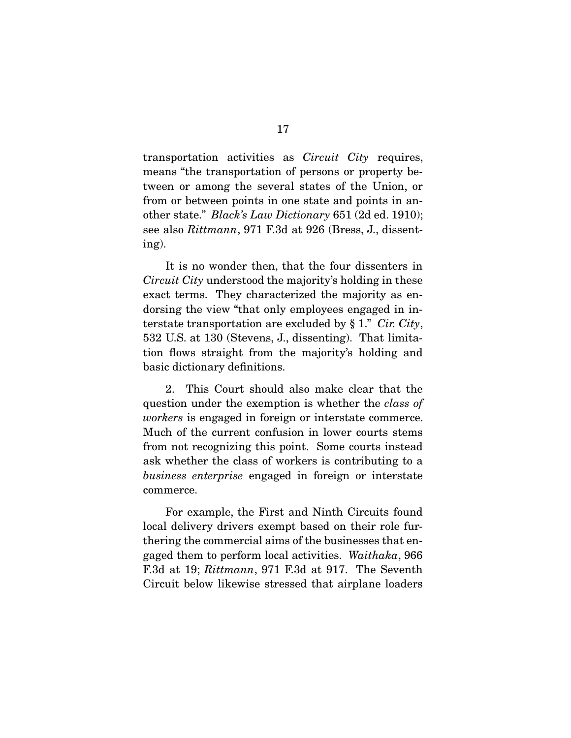transportation activities as *Circuit City* requires, means "the transportation of persons or property between or among the several states of the Union, or from or between points in one state and points in another state." Black's Law Dictionary 651 (2d ed. 1910);<br>see also Bittmann, 971 E.3d et 926 (Bress, L. dissent see also Rittmann, 971 F.3d at 926 (Bress, J., dissenting).

Circuit City understood the majority's holding in these<br>exect terms. They characterized the majority as on exact terms. They characterized the majority as en-<br>dorsing the view "that only employees engaged in interstate transportation are excluded by  $§ 1$ ." Cir. City,<br>532 US at 130 (Stavons I dissorting). That limits 532 U.S. at 130 (Stevens, J., dissenting). That limitation from the major from the majority's holding and basic dictionary definitions.

question under the exemption is whether the *class of* workers is engaged in foreign or interstate commerce.<br>Much of the current confusion in lower courts stems from not recognizing this point. Some courts instead ask whether the class of workers is contributing to a business enterprise engaged in foreign or interstate commerce.

For example, the First and Ninth Circuits found<br>local delivery drivers exempt based on their role furthering the commercial aims of the businesses that engaged them to perform local activities. Waithaka, 966 F.3d at 19; Rittmann, 971 F.3d at 917. The Seventh Circuit below likewise stressed that airplane loaders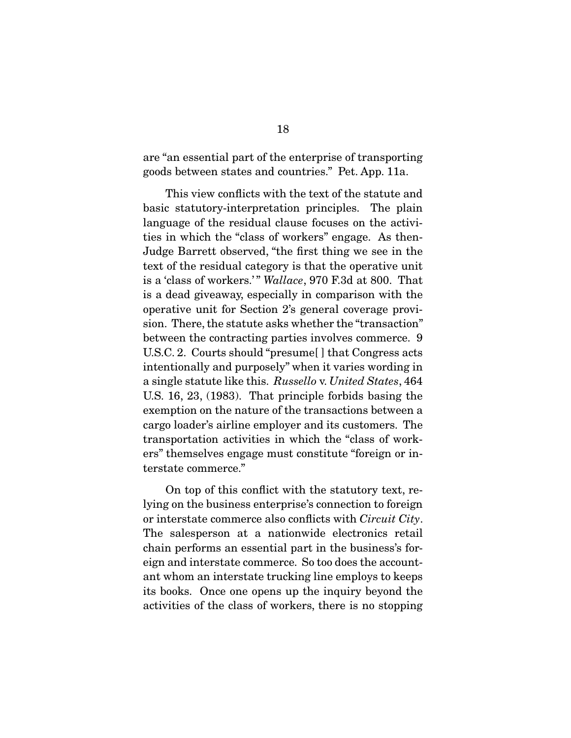$\frac{1}{2}$  and the enterprise of the enterprise of  $\frac{1}{2}$  and  $\frac{1}{2}$  and  $\frac{1}{2}$  and  $\frac{1}{2}$  and  $\frac{1}{2}$  $\mathcal{G}$  between states and countries. The countries and countries. The per-

This view conflicts with the text of the statute and<br>basic statutory-interpretation principles. The plain language of the residual clause focuses on the activities in which the "class of workers" engage. As then-Judge Barrett observed, "the first thing we see in the text of the residual category is that the operative unit  $t_{\text{max}}$  of the residual category is that the operative unit  $\frac{t_{\text{max}}}{t_{\text{max}}}$  is a 'class of workers.' " Wallace, 970 F.3d at 800. That is a dead giveaway, especially in comparison with the sion. There, the statute asks whether the "transaction" between the contracting parties involves commerce. 9  $U.S.C. 2.$  Courts should "presume $[]$  that Congress acts intentionally and purposely" when it varies wording in a single statute like this. Russello v. United States,  $\frac{16}{4}$  and  $\frac{16}{4}$  and  $\frac{22}{4}$  (1083). That principle forbids beging the U.S. 16, 23, (1983). That principle forbids basing the cargo loader's airline employer and its customers. The transportation activities in which the "class of workers" themselves engage must constitute "foreign or interstate commerce." terstate commerce."

On top of this conflict with the statutory text, re-<br>lying on the business enterprise's connection to foreign or interstate commerce also conflicts with *Circuit City*. The salesperson at a nationwide electronics retail chain performs an essential part in the business's foreign and interstate commerce. So too does the accountant whom an interstate trucking line employs to keeps its books. Once one opens up the inquiry beyond the activities of the class of workers, there is no stopping activities of the class of workers, there is no stopping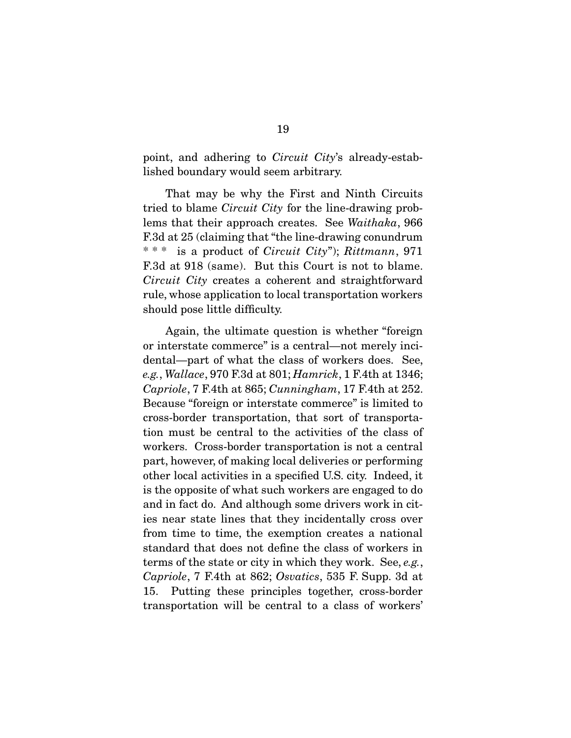point, and adhering to Circuit City's already-established boundary would seem arbitrary.

tried to blame *Circuit City* for the line-drawing prob-<br>lome that their annreach greates. See *Waithaha*, 966 lems that their approach creates. See Waithaka, 966<br>F.3d at 25 (claiming that "the line-drawing conundrum" \* \* \* is a product of *Circuit City*");  $Rittmann$ , 971 FIRE AT 1918 (STATE). But this Court is not to blame.<br>Circuit City creates a coherent and straightforward rule, whose application to local transportation workers showing pose little diameters,

Again, the ultimate question is whether "foreign<br>or interstate commerce" is a central—not merely incidental—part of what the class of workers does. See, e.g., Wallace, 970 F.3d at 801; Hamrick, 1 F.4th at 1346;<br>Canricle, 7 F.4th at 865; Cunningham, 17 F.4th at 252 Capriole, 7 F.4th at 865; Cunningham, 17 F.4th at 252.<br>Because "foreign or interstate commerce" is limited to cross-border transportation, that sort of transportation must be central to the activities of the class of workers. Cross-border transportation is not a central part, however, of making local deliveries or performing other local activities in a specified U.S. city. Indeed, it is the opposite of what such workers are engaged to do and in fact do. And although some drivers work in cities near state lines that they incidentally cross over from time to time, the exemption creates a national standard that does not define the class of workers in terms of the state or city in which they work. See, e.g.,  $Carniel_2$ ,  $7$  E4th at 869; Quaties, 535 E Supp. 3d at Capriole, 7 F.4th at 862; Osvatics, 535 F. Supp. 3d at 15. Putting these principles together, cross-border transportation will be central to a class of workers' transportation will be central to a class of workers'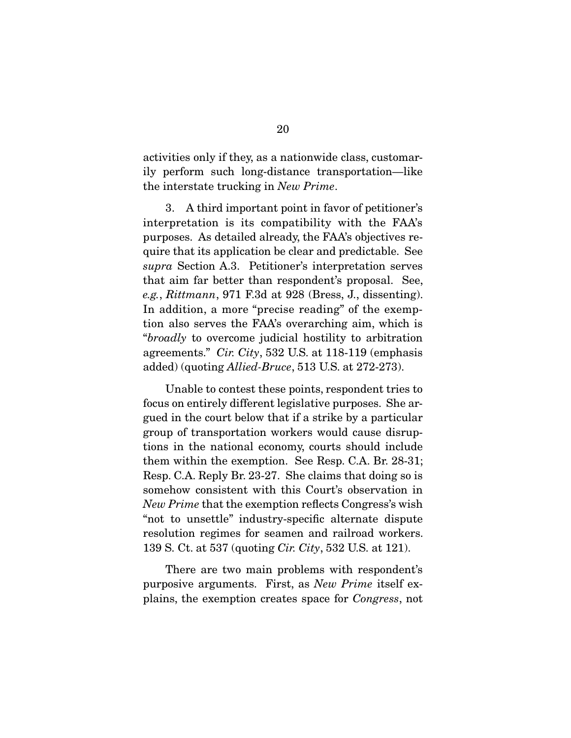activities only if they, as a nationwide class, customar-<br>ily perform such long-distance transportation—like the interstate trucking in New Prime.

3. A third important point in favor of petitioner's interpretation is its compatibility with the FAA's purposes. As detailed already, the FAA's objectives require that its application be clear and predictable. See  $q$ upra Section A.3. Petitioner's interpretation serves e.g., Rittmann, 971 F.3d at 928 (Bress, J., dissenting). In addition, a more "precise reading" of the exemption also serves the FAA's overarching aim, which is "broadly to overcome judicial hostility to arbitration agreements"  $Cir$   $Citr$ ,  $532$  US at 118,119 (emphasis) agreements." Cir. City, 532 U.S. at 118-119 (emphasis added) (quoting Allied-Bruce, 513 U.S. at 272-273).

Unable to contest these points, respondent tries to<br>focus on entirely different legislative purposes. She argued in the court below that if a strike by a particular group of transportation workers would cause disruptions in the national economy, courts should include them within the exemption. See Resp. C.A. Br.  $28-31$ ; Resp. C.A. Reply Br. 23-27. She claims that doing so is somehow consistent with this Court's observation in New Prime that the exemption reflects Congress's wish<br>"not to unsettle" industry specific elternate dispute "not to unsettle" industry-specific alternate dispute 139 S. Ct. at 537 (quoting *Cir. City*, 532 U.S. at 121).

purposive arguments. First, as  $New\ Prime$  itself explains, the exemption creates space for Congress, not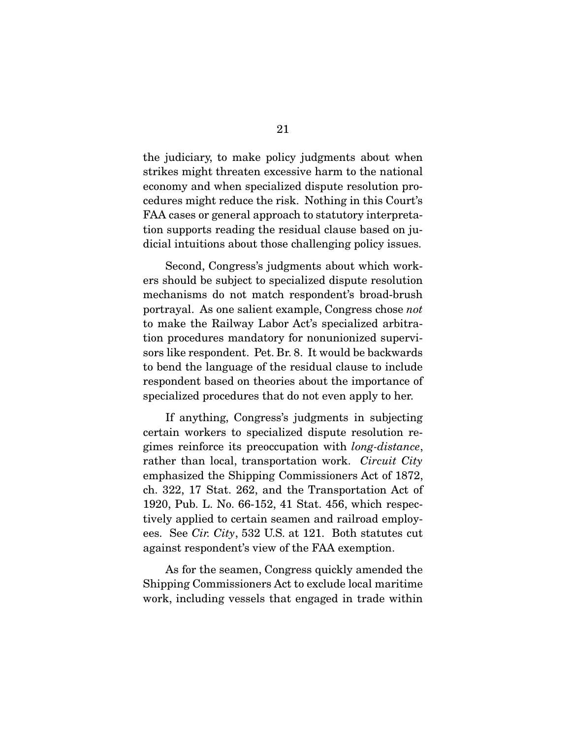the judiciary, to make policy judgments about when strikes might threaten excessive harm to the national economy and when specialized dispute resolution procedures might reduce the risk. Nothing in this Court's FAA cases or general approach to statutory interpretation supports reading the residual clause based on jution supports reading the residual clause based on judicial intuitions about those challenging policy issues.

Second, Congress's judgments about which work-<br>ers should be subject to specialized dispute resolution mechanisms do not match respondent's broad-brush portrayal. As one salient example, Congress chose not<br>to make the Beilway Labor Act's specialized arbitra to make the Railway Labor Act's specialized arbitrasors like respondent. Pet. Br. 8. It would be backwards to bend the language of the residual clause to include respondent based on theories about the importance of specialized procedures that do not even apply to her. specialized procedures that do not even apply to her.

If anything, Congress's judgments in subjecting<br>certain workers to specialized dispute resolution reexamples resolution of specialized dispute resolution re-<br>gimes reinforce its preoccupation with *long-distance*,<br>rether than local transportation work. Circuit City rather than local, transportation work. Circuit City<br>emphasized the Shipping Commissioners Act of 1872, ch. 322, 17 Stat. 262, and the Transportation Act of 1920, Pub. L. No. 66-152, 41 Stat. 456, which respectively applied to certain seamen and railroad employ $t_{\text{c}}$  applied to certain seamen and railroad employ-<br>ees. See Cir. City, 532 U.S. at 121. Both statutes cut against respondent's view of the FAA exemption.

As for the seamen, Congress quickly amended the Shipping Commissioners Act to exclude local maritime  $\frac{1}{\pi}$  is  $\frac{1}{\pi}$  of  $\frac{1}{\pi}$  in  $\frac{1}{\pi}$  is  $\frac{1}{\pi}$  or  $\frac{1}{\pi}$  and  $\frac{1}{\pi}$  is  $\frac{1}{\pi}$  in  $\frac{1}{\pi}$  in  $\frac{1}{\pi}$  in  $\frac{1}{\pi}$  in  $\frac{1}{\pi}$  in  $\frac{1}{\pi}$  is  $\frac{1}{\pi}$  in  $\frac{1}{\pi}$  is  $\frac{1}{\pi}$ work, including vessels that engaged in trade within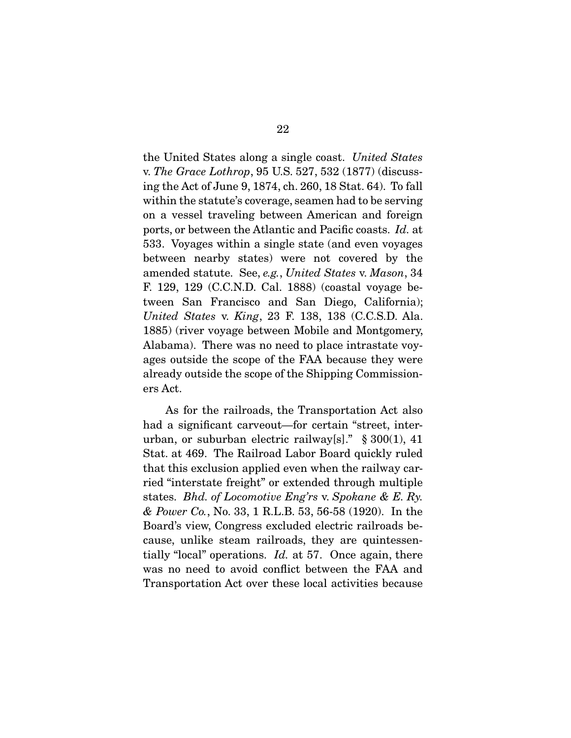the United States along a single coast. United States v. *The Grace Lothrop*, 95 U.S. 527, 532 (1877) (discuss-<br>ing the Act of June 9, 1874, ch. 260, 18 Stat. 64). To fall within the statute's coverage, seamen had to be serving. on a vessel traveling between American and foreign ports, or between the Atlantic and Pacific coasts. Id. at 533. Voyages within a single state (and even voyages amended statute. See, e.g., United States v. Mason, 34 F. 129, 129 (C.C.N.D. Cal. 1888) (coastal voyage be-<br>tween San Francisco and San Diego, California); United States v. King, 23 F. 138, 138 (C.C.S.D. Ala.)<br>1885) (river veyage between Mebile and Mentgomery 1885) (river voyage between Mobile and Montgomery, Alabama). There was no need to place intrastate voyages outside the scope of the FAA because they were already outside the scope of the Shipping Commission- $\frac{1}{\sqrt{1 + \frac{1}{\sqrt{1 + \frac{1}{\sqrt{1 + \frac{1}{\sqrt{1 + \frac{1}{\sqrt{1 + \frac{1}{\sqrt{1 + \frac{1}{\sqrt{1 + \frac{1}{\sqrt{1 + \frac{1}{\sqrt{1 + \frac{1}{\sqrt{1 + \frac{1}{\sqrt{1 + \frac{1}{\sqrt{1 + \frac{1}{\sqrt{1 + \frac{1}{\sqrt{1 + \frac{1}{\sqrt{1 + \frac{1}{\sqrt{1 + \frac{1}{\sqrt{1 + \frac{1}{\sqrt{1 + \frac{1}{\sqrt{1 + \frac{1}{\sqrt{1 + \frac{1}{\sqrt{1 + \frac{1}{\sqrt{1 +$ ers Act.

As for the railroads, the Transportation Act also<br>had a significant carveout—for certain "street, interurban, or suburban electric railway[s]."  $\S 300(1)$ , 41 Stat. at 469. The Railroad Labor Board quickly ruled that this exclusion applied even when the railway carried "interstate freight" or extended through multiple states. Bhd. of Locomotive Eng'rs v. Spokane & E. Ry.<br> $\kappa$  Power Co. No. 33, 1 B J B 53, 56, 58 (1990). In the & Power Co., No. 33, 1 R.L.B. 53, 56-58 (1920). In the Board's view, Congress excluded electric railroads because, unlike steam railroads, they are quintessentially "local" operations. Id. at 57. Once again, there we no need to evoid conflict between the  $FA$  and was no need to avoid conflict week conflict the FAA and  $T_{\rm F}$  and  $T_{\rm F}$  activities because activities because because because  $T_{\rm F}$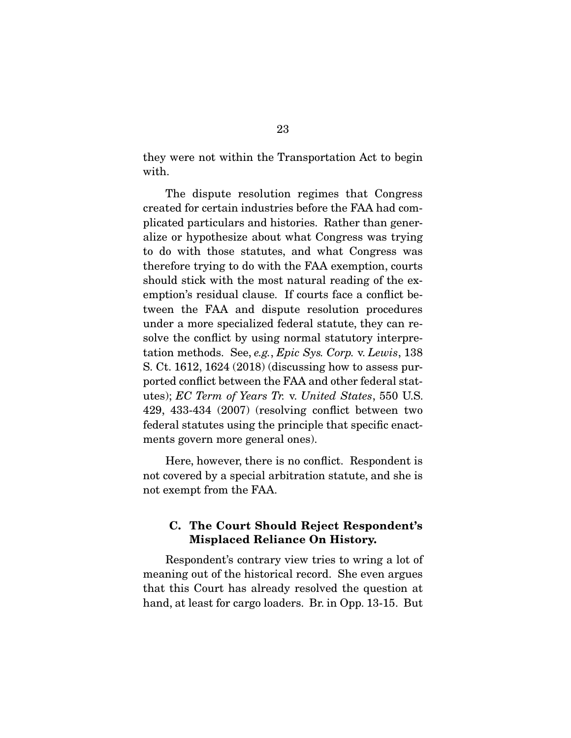they were not within the Transportation Act to begin with.

The dispute resolution regimes that Congress created for certain industries before the FAA had complicated particulars and histories. Rather than generalize or hypothesize about what Congress was trying. to do with those statutes, and what Congress was therefore trying to do with the FAA exemption, courts should stick with the most natural reading of the exemption's residual clause. If courts face a conflict between the FAA and dispute resolution procedures. under a more specialized federal statute, they can resolve the conflict by using normal statutory interpretation methods. See, e.g., Epic Sys. Corp. v. Lewis,  $138$ <br>S. Ct. 1612–1624 (2018) (discussing how to assess pur S. Ct. 1612, 1624 (2018) (discussing how to assess pur-<br>ported conflict between the FAA and other federal statported conflict between the FAA and other fears Tr. v. United States, 550 U.S.<br>
129, 123, 124, (2007) (resolving eartiet between two 429, 433-434 (2007) (resolving conflict between two  $\frac{1}{2}$  statutes using  $\frac{1}{2}$  .  $\frac{1}{2}$  for each specific enactments govern more general ones).

Here, however, there is no conflict. Respondent is not covered by a special arbitration statute, and she is not covered by a special arbitration statute, and she is  $\frac{1}{2}$ not exempt from the FAA.

### **C. The Court Should Reject Respondent's Misplaced Reliance On History.**

Respondent's contrary view tries to wring a lot of<br>meaning out of the historical record. She even argues that this Court has already resolved the question at  $t_{\text{total}}$  at loost for garco loadors. Br in Opp 13.15. But hand, at least for cargo loads in  $\mathbf{F}_{\mathbf{F}}$ . But in Opp.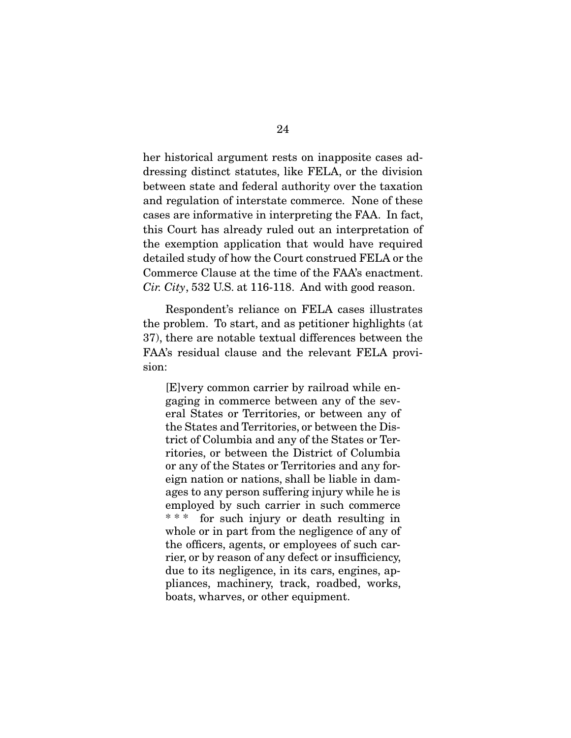her historical argument rests on inapposite cases addressing distinct statutes, like FELA, or the division between state and federal authority over the taxation and regulation of interstate commerce. None of these cases are informative in interpreting the FAA. In fact, this Court has already ruled out an interpretation of the exemption application that would have required detailed study of how the Court construed FELA or the Commerce Clause at the time of the FAA's enactment. Cir. City, 532 U.S. at 116-118. And with good reason.

Respondent's reliance on FELA cases illustrates<br>the problem. To start, and as petitioner highlights (at 37), there are notable textual differences between the  $FA$  $\lambda$ 's residual clause and the relaxant  $FFI$   $\Lambda$  provi FAA's residual clause and the relevant FELA provision:

[E]very common carrier by railroad while eneral States or Territories, or between any of the States and Territories, or between the District of Columbia and any of the States or Territories, or between the District of Columbia or any of the States or Territories and any foreign nation or nations, shall be liable in damages to any person suffering injury while he is employed by such carrier in such commerce \*\*\* for such injury or death resulting in whole or in part from the negligence of any of the officers, agents, or employees of such carrier, or by reason of any defect or insufficiency, due to its negligence, in its cars, engines, appliances, machinery, track, roadbed, works, boats, wharves, or other equipment. boats, wharves, or other equipment.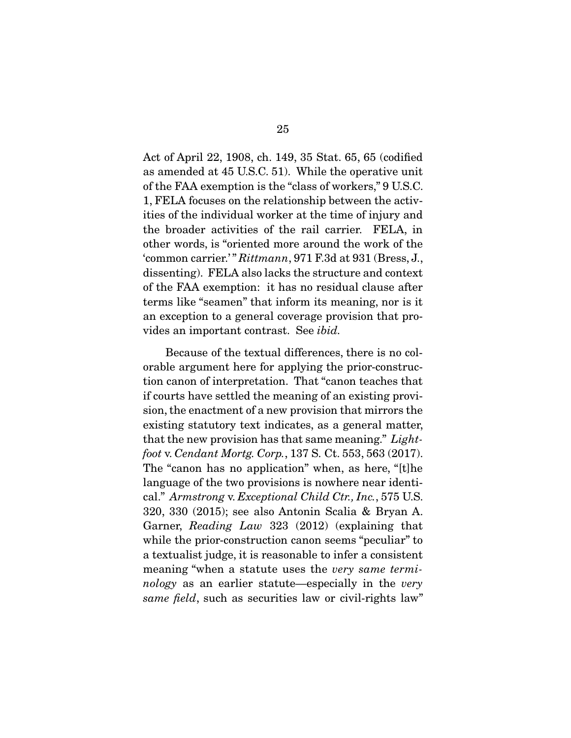Act of April 22, 1908, ch. 149, 35 Stat. 65, 65 (codified as amended at 45 U.S.C. 51). While the operative unit of the FAA exemption is the "class of workers," 9 U.S.C. 1, FELA focuses on the relationship between the activities of the individual worker at the time of injury and the broader activities of the rail carrier. FELA, in other words, is "oriented more around the work of the "common carrier.'"  $Rittmann$ , 971 F.3d at 931 (Bress, J., disconting). FFI A also leaks the structure and context. dissenting). FELA also lacks the structure and context<br>of the FAA exemption: it has no residual clause after terms like "seamen" that inform its meaning, nor is it an exception to a general coverage provision that proand the process of a general coverage provision that pro-<br>vides an important contrast. See *ibid*.

Because of the textual differences, there is no colorable argument here for applying the prior-construction canon of interpretation. That "canon teaches that if courts have settled the meaning of an existing provision, the enactment of a new provision that mirrors the existing statutory text indicates, as a general matter, that the new provision has that same meaning." Light-<br>foot y Cardont Morts Corp. 137 S. Ct. 553, 563 (2017) foot v. Cendant Mortg. Corp., 137 S. Ct. 553, 563 (2017).<br>The "canon has no application" when, as here, "[t]he language of the two provisions is nowhere near identical."  $Armstrong v. Exceptional Child Ctr., Inc., 575 U.S.$ <br>
320, 330, (2015): see also Aptenin Scalia & Bryan A Garner,  $Reading Law 323 (2012) (explaining that  
while the prior construction comes "poulier" to$ while the prior-construction canon seems "peculiar" to<br>a textualist judge, it is reasonable to infer a consistent meaning "when a statute uses the very same termi-<br>nelow as an earlier statute especially in the very nology as an earlier statute—especially in the very same field, such as securities law or civil-rights law"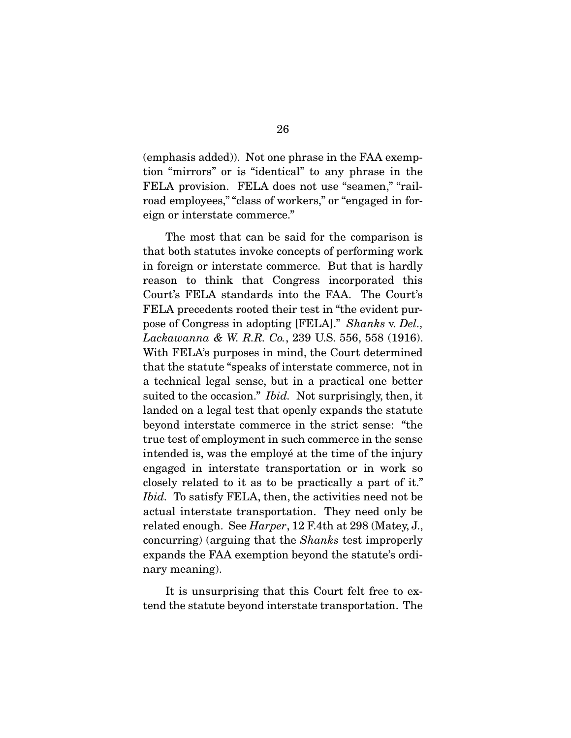(emphasis added)). Not one phrase in the FAA exemp-FELA provision. FELA does not use "seamen," "railroad employees," "class of workers," or "engaged in for- $\frac{1}{2}$  or  $\frac{1}{2}$  or  $\frac{1}{2}$  or  $\frac{1}{2}$  or  $\frac{1}{2}$  or  $\frac{1}{2}$  or  $\frac{1}{2}$  or  $\frac{1}{2}$  or  $\frac{1}{2}$  or  $\frac{1}{2}$  or  $\frac{1}{2}$  or  $\frac{1}{2}$  or  $\frac{1}{2}$  or  $\frac{1}{2}$  or  $\frac{1}{2}$  or  $\frac{1}{2}$  or  $\frac{1}{2}$  or e<sub>g</sub>n or interstate commerce."

The most that can be said for the comparison is that both statutes invoke concepts of performing work in foreign or interstate commerce. But that is hardly reason to think that Congress incorporated this Court's FELA standards into the FAA. The Court's FELA precedents rooted their test in "the evident purpose of Congress in adopting  $[{\rm FELA}]$ ." Shanks v. Del.,<br>Lachaugung & W R R Co. 239 US 556 558 (1916) Lackawanna & W. R.R. Co., 239 U.S. 556, 558 (1916).<br>With FELA's purposes in mind, the Court determined that the statute "speaks of interstate commerce, not in a technical legal sense, but in a practical one better suited to the occasion."  $Ibid.$  Not surprisingly, then, it landed on a legal test that openly expands the statute beyond interstate commerce in the strict sense: "the true test of employment in such commerce in the sense. intended is, was the employe at the time of the injury engaged in interstate transportation or in work so closely related to it as to be practically a part of it."  $Ibid.$  To satisfy FELA, then, the activities need not be actual interstate transportation. They need only be related enough. See  $Harper$ , 12 F.4th at 298 (Matey, J., concurring) (arguing that the *Shanks* test improperly expands the FAA exemption beyond the statute's ordinary meaning).  $\cdots$ ,  $\cdots$   $\cdots$   $\cdots$ 

It is unsurprising that this Court felt free to extend the statute beyond interstate transportation. The tend the statute beyond interstate transportation. The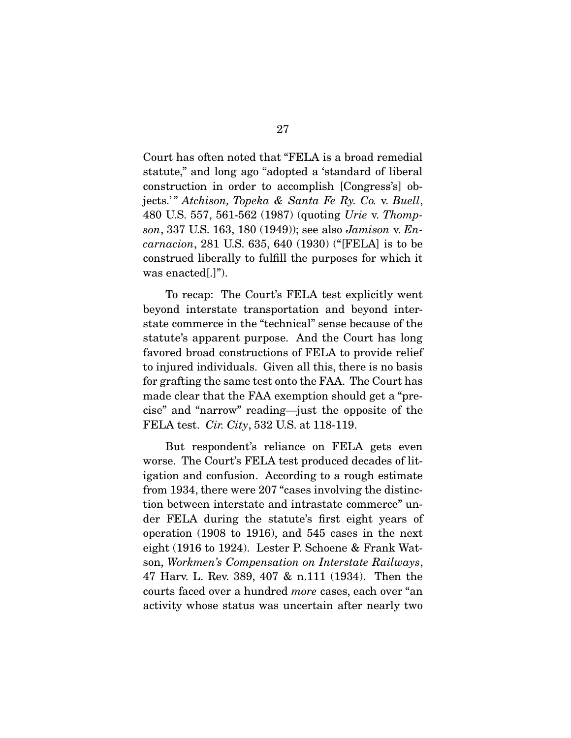Court has often noted that "FELA is a broad remedial statute," and long ago "adopted a 'standard of liberal construction in order to accomplish [Congress's] objects.'" Atchison, Topeka & Santa Fe Ry. Co. v. Buell,<br>480 US 557 561 562 (1987) (quoting Urie y Thomp 480 U.S. 557, 561-562 (1987) (quoting Urie v. Thompson, 337 U.S. 163, 180 (1949)); see also Jamison v. Encarnacion, 281 U.S. 635, 640 (1930) ("[FELA] is to be construed liberally to fulfill the purposes for which it was enacted  $\lbrack \cdot \rbrack$ ").  $\sum_{i=1}^{n}$ 

To recap: The Court's FELA test explicitly went<br>beyond interstate transportation and beyond interstate commerce in the "technical" sense because of the statute's apparent purpose. And the Court has long favored broad constructions of FELA to provide relief to injured individuals. Given all this, there is no basis for grafting the same test onto the FAA. The Court has made clear that the FAA exemption should get a "precise" and "narrow" reading—just the opposite of the FELA test. Cir. City, 532 U.S. at 118-119.

But respondent's reliance on FELA gets even<br>worse. The Court's FELA test produced decades of litigation and confusion. According to a rough estimate from 1934, there were  $207$  "cases involving the distinction between interstate and intrastate commerce" under FELA during the statute's first eight years of operation  $(1908 \text{ to } 1916)$ , and 545 cases in the next eight (1916 to 1924). Lester P. Schoene & Frank Watson, Workmen's Compensation on Interstate Railways,<br> $\frac{17 \text{ H} \text{cm}}{47 \text{ H} \text{cm}}$  L Boy 380, 407 & p. 111 (1934). Then the courts faced over a hundred *more* cases, each over "an  $\mathcal{A}$  and  $\mathcal{A}$  are status was uncertain after nearly two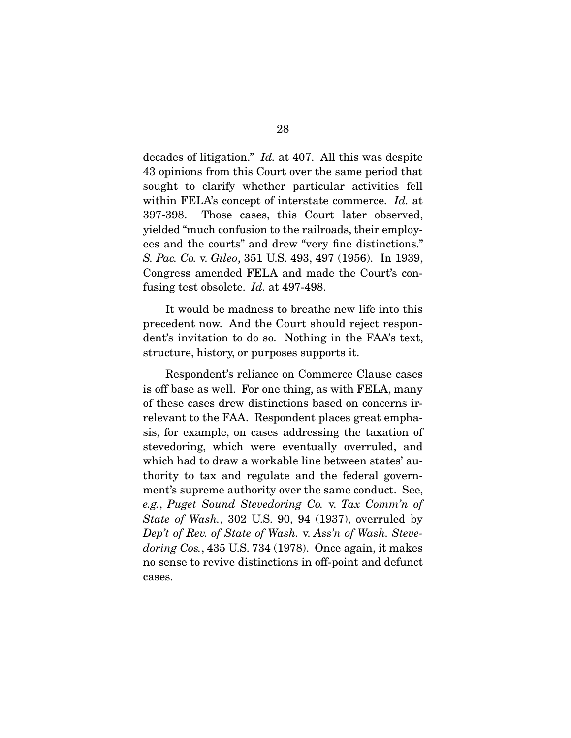decades of litigation." *Id.* at 407. All this was despite 43 opinions from this Court over the same period that sought to clarify whether particular activities fell within FELA's concept of interstate commerce. Id. at<br>397,398. These cases, this Court later ebserved. 397-398. Those cases, this Court later observed, ees and the courts" and drew "very fine distinctions." S. Pac. Co. v. Gileo, 351 U.S. 493, 497 (1956). In 1939, Congress amended FELA and made the Court's con-fusing test obsolete. Id. at 497-498.

It would be madness to breathe new life into this precedent now. And the Court should reject respondent's invitation to do so. Nothing in the FAA's text, denture history or nurnosos supports it  $s$  is determined, history, or purposes supports it.

Respondent's reliance on Commerce Clause cases<br>is off base as well. For one thing, as with FELA, many of these cases drew distinctions based on concerns irrelevant to the FAA. Respondent places great emphasis, for example, on cases addressing the taxation of stevedoring, which were eventually overruled, and which had to draw a workable line between states' authority to tax and regulate and the federal government's supreme authority over the same conduct. See, e.g., Puget Sound Stevedoring Co. v. Tax Comm'n of  $\frac{S}{n}$ State of Wash., 302 U.S. 90, 94 (1937), overruled by Dep't of Rev. of State of Wash. v. Ass'n of Wash. Stevedoring Cos., 435 U.S. 734 (1978). Once again, it makes no sense to revive distinctions in off-point and defunct cases.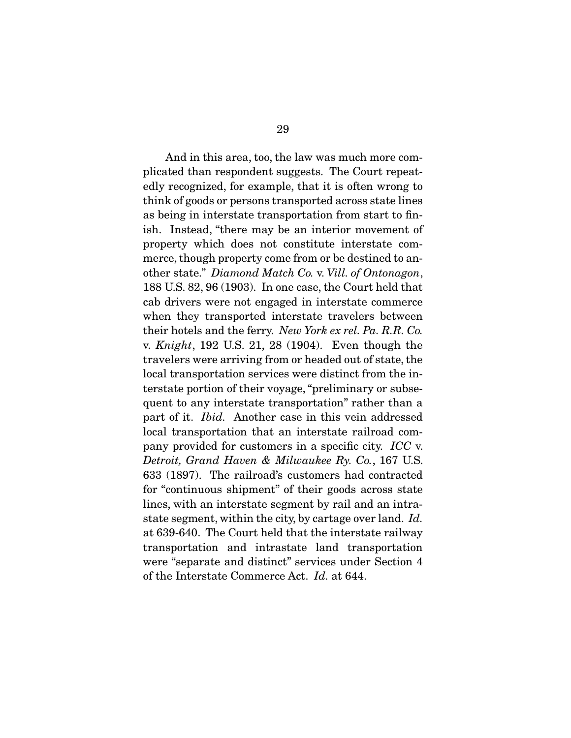And in this area, too, the law was much more com-<br>plicated than respondent suggests. The Court repeatedly recognized, for example, that it is often wrong to think of goods or persons transported across state lines as being in interstate transportation from start to finish. Instead, "there may be an interior movement of property which does not constitute interstate commerce, though property come from or be destined to another state." Diamond Match Co. v. Vill. of Ontonagon, 188 U.S. 82, 96 (1903). In one case, the Court held that when they transported interstate travelers between their hotels and the ferry. New York ex rel. Pa. R.R. Co. v. *Knight*, 192 U.S. 21, 28 (1904). Even though the travelers were arriving from or headed out of state, the local transportation services were distinct from the interstate portion of their voyage, "preliminary or subsequent to any interstate transportation" rather than a part of it. *Ibid.* Another case in this vein addressed<br>local transportation that an interstate railroad company provided for customers in a specific city. ICC v.<br>Detroit, Grand Haven & Milwaykee By, Co., 167, U.S. Detroit, Grand Haven & Milwaukee Ry. Co., 167 U.S. 633 (1897). The railroad's customers had contracted for "continuous shipment" of their goods across state lines, with an interstate segment by rail and an intrastate segment, within the city, by cartage over land. Id. at 639-640. The Court held that the interstate railway<br>transportation and intrastate land transportation were "separate and distinct" services under Section 4 of the Interstate Commerce Act. Id. at 644.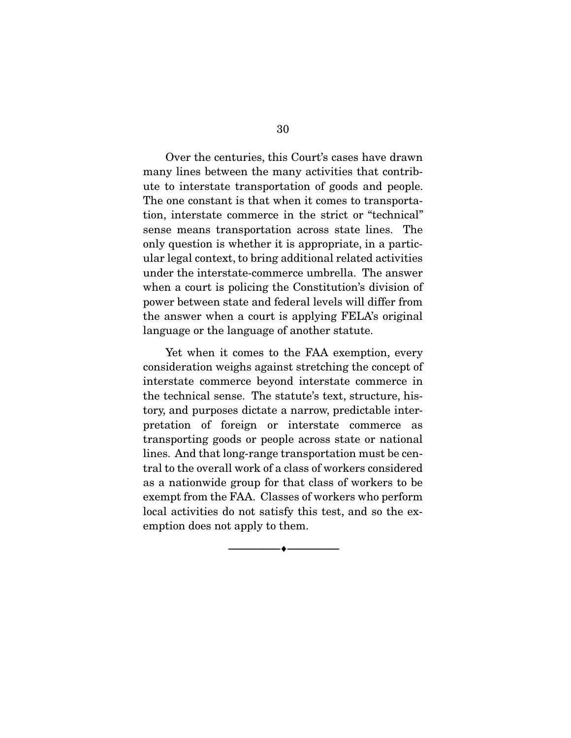Over the centuries, this Court's cases have drawn<br>many lines between the many activities that contribute to interstate transportation of goods and people. The one constant is that when it comes to transportation, interstate commerce in the strict or "technical" sense means transportation across state lines. The only question is whether it is appropriate, in a particular legal context, to bring additional related activities under the interstate-commerce umbrella. The answer when a court is policing the Constitution's division of power between state and federal levels will differ from the answer when a court is applying FELA's original language or the language of another statute. language or the language of another statute.

Yet when it comes to the FAA exemption, every consideration weighs against stretching the concept of interstate commerce beyond interstate commerce in the technical sense. The statute's text, structure, history, and purposes dictate a narrow, predictable interpretation of foreign or interstate commerce as transporting goods or people across state or national lines. And that long-range transportation must be central to the overall work of a class of workers considered as a nationwide group for that class of workers to be exempt from the FAA. Classes of workers who perform local activities do not satisfy this test, and so the exemption does not apply to them. emption does not apply to them.

 $\overbrace{\hspace{2.5cm}}$   $\overbrace{\hspace{2.5cm}}$